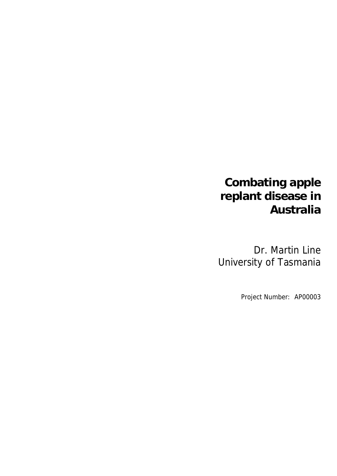# **Combating apple replant disease in Australia**

Dr. Martin Line University of Tasmania

Project Number: AP00003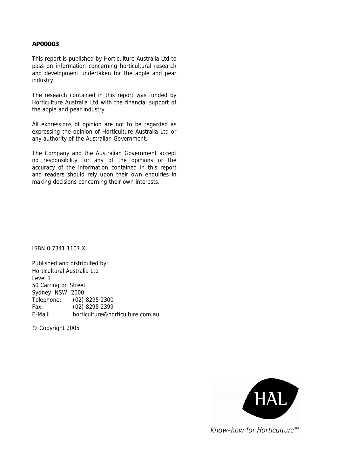#### **AP00003**

This report is published by Horticulture Australia Ltd to pass on information concerning horticultural research and development undertaken for the apple and pear industry.

The research contained in this report was funded by Horticulture Australia Ltd with the financial support of the apple and pear industry.

All expressions of opinion are not to be regarded as expressing the opinion of Horticulture Australia Ltd or any authority of the Australian Government.

The Company and the Australian Government accept no responsibility for any of the opinions or the accuracy of the information contained in this report and readers should rely upon their own enquiries in making decisions concerning their own interests.

ISBN 0 7341 1107 X

Published and distributed by: Horticultural Australia Ltd Level 1 50 Carrington Street Sydney NSW 2000 Telephone: (02) 8295 2300 Fax: (02) 8295 2399 E-Mail: horticulture@horticulture.com.au

© Copyright 2005



Know-how for Horticulture<sup>™</sup>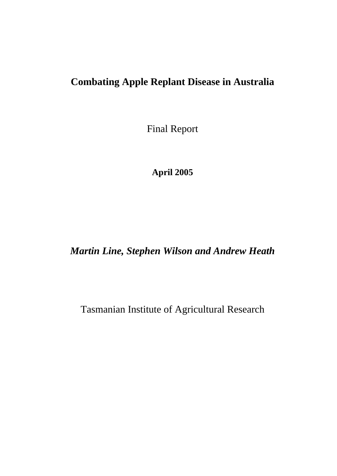# **Combating Apple Replant Disease in Australia**

Final Report

**April 2005** 

*Martin Line, Stephen Wilson and Andrew Heath* 

Tasmanian Institute of Agricultural Research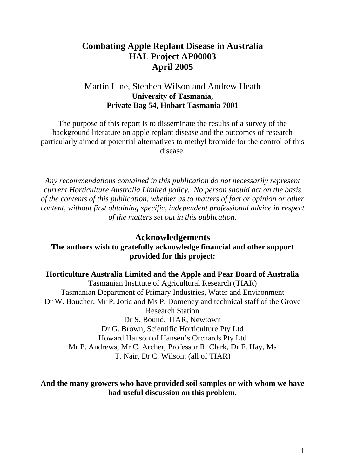# **Combating Apple Replant Disease in Australia HAL Project AP00003 April 2005**

# Martin Line, Stephen Wilson and Andrew Heath **University of Tasmania, Private Bag 54, Hobart Tasmania 7001**

The purpose of this report is to disseminate the results of a survey of the background literature on apple replant disease and the outcomes of research particularly aimed at potential alternatives to methyl bromide for the control of this disease.

*Any recommendations contained in this publication do not necessarily represent current Horticulture Australia Limited policy. No person should act on the basis of the contents of this publication, whether as to matters of fact or opinion or other content, without first obtaining specific, independent professional advice in respect of the matters set out in this publication.*

# **Acknowledgements**

# **The authors wish to gratefully acknowledge financial and other support provided for this project:**

#### **Horticulture Australia Limited and the Apple and Pear Board of Australia**

Tasmanian Institute of Agricultural Research (TIAR) Tasmanian Department of Primary Industries, Water and Environment Dr W. Boucher, Mr P. Jotic and Ms P. Domeney and technical staff of the Grove Research Station Dr S. Bound, TIAR, Newtown Dr G. Brown, Scientific Horticulture Pty Ltd Howard Hanson of Hansen's Orchards Pty Ltd Mr P. Andrews, Mr C. Archer, Professor R. Clark, Dr F. Hay, Ms T. Nair, Dr C. Wilson; (all of TIAR)

## **And the many growers who have provided soil samples or with whom we have had useful discussion on this problem.**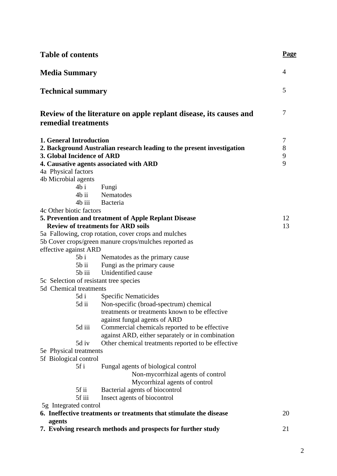| <b>Table of contents</b>                                     |                                                                                                                   | <u>Page</u>      |
|--------------------------------------------------------------|-------------------------------------------------------------------------------------------------------------------|------------------|
| <b>Media Summary</b>                                         |                                                                                                                   | 4                |
| <b>Technical summary</b>                                     |                                                                                                                   | 5                |
|                                                              | Review of the literature on apple replant disease, its causes and                                                 | 7                |
| remedial treatments                                          |                                                                                                                   |                  |
| <b>1. General Introduction</b><br>3. Global Incidence of ARD | 2. Background Australian research leading to the present investigation<br>4. Causative agents associated with ARD | 7<br>8<br>9<br>9 |
| 4a Physical factors                                          |                                                                                                                   |                  |
| 4b Microbial agents                                          |                                                                                                                   |                  |
|                                                              | 4b i Fungi                                                                                                        |                  |
|                                                              | 4b ii Nematodes                                                                                                   |                  |
| 4b iii<br>4c Other biotic factors                            | Bacteria                                                                                                          |                  |
|                                                              | 5. Prevention and treatment of Apple Replant Disease                                                              | 12               |
|                                                              | <b>Review of treatments for ARD soils</b>                                                                         | 13               |
|                                                              | 5a Fallowing, crop rotation, cover crops and mulches                                                              |                  |
|                                                              | 5b Cover crops/green manure crops/mulches reported as                                                             |                  |
| effective against ARD                                        |                                                                                                                   |                  |
| $5b$ i                                                       | Nematodes as the primary cause                                                                                    |                  |
|                                                              | 5b ii Fungi as the primary cause                                                                                  |                  |
| $5b$ iii                                                     | Unidentified cause                                                                                                |                  |
| 5c Selection of resistant tree species                       |                                                                                                                   |                  |
| 5d Chemical treatments                                       |                                                                                                                   |                  |
| 5d i                                                         | <b>Specific Nematicides</b>                                                                                       |                  |
|                                                              | 5d ii Non-specific (broad-spectrum) chemical<br>treatments or treatments known to be effective                    |                  |
|                                                              | against fungal agents of ARD                                                                                      |                  |
| 5d iii                                                       | Commercial chemicals reported to be effective                                                                     |                  |
|                                                              | against ARD, either separately or in combination                                                                  |                  |
| 5d iv                                                        | Other chemical treatments reported to be effective                                                                |                  |
| 5e Physical treatments                                       |                                                                                                                   |                  |
| 5f Biological control                                        |                                                                                                                   |                  |
| 5f i                                                         | Fungal agents of biological control                                                                               |                  |
|                                                              | Non-mycorrhizal agents of control                                                                                 |                  |
|                                                              | Mycorrhizal agents of control                                                                                     |                  |
| 5f ii                                                        | Bacterial agents of biocontrol                                                                                    |                  |
| 5f iii                                                       | Insect agents of biocontrol                                                                                       |                  |
| 5g Integrated control                                        | 6. Ineffective treatments or treatments that stimulate the disease                                                | 20               |
| agents                                                       |                                                                                                                   |                  |
|                                                              | 7. Evolving research methods and prospects for further study                                                      | 21               |
|                                                              |                                                                                                                   |                  |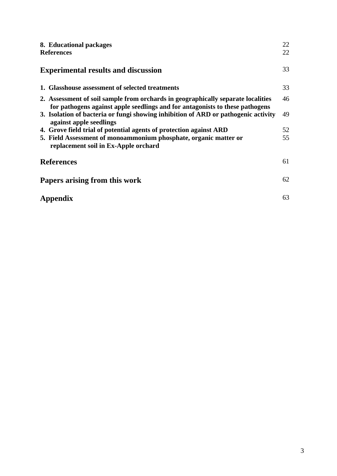| 8. Educational packages<br><b>References</b>                                                                                                                     | 22<br>22 |  |  |  |
|------------------------------------------------------------------------------------------------------------------------------------------------------------------|----------|--|--|--|
| <b>Experimental results and discussion</b>                                                                                                                       | 33       |  |  |  |
| 1. Glasshouse assessment of selected treatments                                                                                                                  | 33       |  |  |  |
| 2. Assessment of soil sample from orchards in geographically separate localities<br>for pathogens against apple seedlings and for antagonists to these pathogens | 46       |  |  |  |
| 3. Isolation of bacteria or fungi showing inhibition of ARD or pathogenic activity<br>against apple seedlings                                                    | 49       |  |  |  |
| 4. Grove field trial of potential agents of protection against ARD                                                                                               | 52       |  |  |  |
| 5. Field Assessment of monoammonium phosphate, organic matter or                                                                                                 | 55       |  |  |  |
| replacement soil in Ex-Apple orchard                                                                                                                             |          |  |  |  |
| <b>References</b>                                                                                                                                                | 61       |  |  |  |
| Papers arising from this work                                                                                                                                    |          |  |  |  |
| Appendix                                                                                                                                                         | 63       |  |  |  |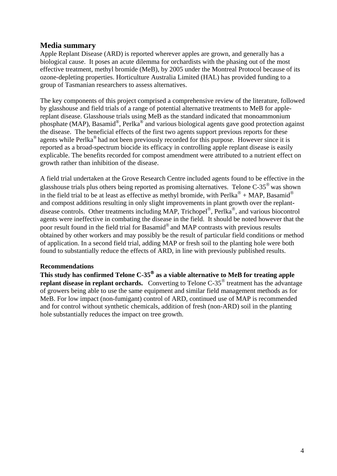# **Media summary**

Apple Replant Disease (ARD) is reported wherever apples are grown, and generally has a biological cause. It poses an acute dilemma for orchardists with the phasing out of the most effective treatment, methyl bromide (MeB), by 2005 under the Montreal Protocol because of its ozone-depleting properties. Horticulture Australia Limited (HAL) has provided funding to a group of Tasmanian researchers to assess alternatives.

The key components of this project comprised a comprehensive review of the literature, followed by glasshouse and field trials of a range of potential alternative treatments to MeB for applereplant disease. Glasshouse trials using MeB as the standard indicated that monoammonium phosphate (MAP), Basamid®, Perlka® and various biological agents gave good protection against the disease. The beneficial effects of the first two agents support previous reports for these agents while Perlka® had not been previously recorded for this purpose. However since it is reported as a broad-spectrum biocide its efficacy in controlling apple replant disease is easily explicable. The benefits recorded for compost amendment were attributed to a nutrient effect on growth rather than inhibition of the disease.

A field trial undertaken at the Grove Research Centre included agents found to be effective in the glasshouse trials plus others being reported as promising alternatives. Telone  $C-35^\circ$  was shown in the field trial to be at least as effective as methyl bromide, with Perlka<sup>®</sup> + MAP, Basamid<sup>®</sup> and compost additions resulting in only slight improvements in plant growth over the replantdisease controls. Other treatments including MAP, Trichopel®, Perlka®, and various biocontrol agents were ineffective in combating the disease in the field. It should be noted however that the poor result found in the field trial for Basamid® and MAP contrasts with previous results obtained by other workers and may possibly be the result of particular field conditions or method of application. In a second field trial, adding MAP or fresh soil to the planting hole were both found to substantially reduce the effects of ARD, in line with previously published results.

#### **Recommendations**

**This study has confirmed Telone C-35**® **as a viable alternative to MeB for treating apple replant disease in replant orchards.** Converting to Telone C-35<sup>®</sup> treatment has the advantage of growers being able to use the same equipment and similar field management methods as for MeB. For low impact (non-fumigant) control of ARD, continued use of MAP is recommended and for control without synthetic chemicals, addition of fresh (non-ARD) soil in the planting hole substantially reduces the impact on tree growth.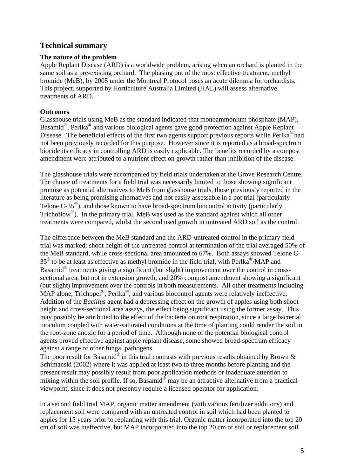# **Technical summary**

## **The nature of the problem**

Apple Replant Disease (ARD) is a worldwide problem, arising when an orchard is planted in the same soil as a pre-existing orchard. The phasing out of the most effective treatment, methyl bromide (MeB), by 2005 under the Montreal Protocol poses an acute dilemma for orchardists. This project, supported by Horticulture Australia Limited (HAL) will assess alternative treatments of ARD.

#### **Outcomes**

Glasshouse trials using MeB as the standard indicated that monoammonium phosphate (MAP), Basamid®, Perlka® and various biological agents gave good protection against Apple Replant Disease. The beneficial effects of the first two agents support previous reports while Perlka<sup>®</sup> had not been previously recorded for this purpose. However since it is reported as a broad-spectrum biocide its efficacy in controlling ARD is easily explicable. The benefits recorded by a compost amendment were attributed to a nutrient effect on growth rather than inhibition of the disease.

The glasshouse trials were accompanied by field trials undertaken at the Grove Research Centre. The choice of treatments for a field trial was necessarily limited to those showing significant promise as potential alternatives to MeB from glasshouse trials, those previously reported in the literature as being promising alternatives and not easily assessable in a pot trial (particularly Telone C-35<sup>®</sup>), and those known to have broad-spectrum biocontrol activity (particularly Trichoflow<sup>®</sup>). In the primary trial, MeB was used as the standard against which all other treatments were compared, whilst the second used growth in untreated ARD soil as the control.

The difference between the MeB standard and the ARD-untreated control in the primary field trial was marked; shoot height of the untreated control at termination of the trial averaged 50% of the MeB standard, while cross-sectional area amounted to 67%. Both assays showed Telone C- $35^{\circ}$  to be at least as effective as methyl bromide in the field trial, with Perlka<sup>®</sup>/MAP and Basamid® treatments giving a significant (but slight) improvement over the control in crosssectional area, but not in extension growth, and 20% compost amendment showing a significant (but slight) improvement over the controls in both measurements. All other treatments including MAP alone, Trichopel<sup>®</sup>, Perlka<sup>®</sup>, and various biocontrol agents were relatively ineffective, Addition of the *Bacillus* agent had a depressing effect on the growth of apples using both shoot height and cross-sectional area assays, the effect being significant using the former assay. This may possibly be attributed to the effect of the bacteria on root respiration, since a large bacterial inoculum coupled with water-saturated conditions at the time of planting could render the soil in the root-zone anoxic for a period of time. Although none of the potential biological control agents proved effective against apple replant disease, some showed broad-spectrum efficacy against a range of other fungal pathogens.

The poor result for Basamid<sup>®</sup> in this trial contrasts with previous results obtained by Brown & Schimanski (2002) where it was applied at least two to three months before planting and the present result may possibly result from poor application methods or inadequate attention to mixing within the soil profile. If so, Basamid<sup>®</sup> may be an attractive alternative from a practical viewpoint, since it does not presently require a licensed operator for application.

In a second field trial MAP, organic matter amendment (with various fertilizer additions) and replacement soil were compared with an untreated control in soil which had been planted to apples for 15 years prior to replanting with this trial. Organic matter incorporated into the top 20 cm of soil was ineffective, but MAP incorporated into the top 20 cm of soil or replacement soil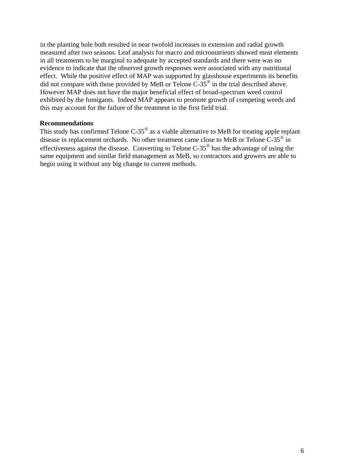in the planting hole both resulted in near twofold increases in extension and radial growth measured after two seasons. Leaf analysis for macro and micronutrients showed most elements in all treatments to be marginal to adequate by accepted standards and there were was no evidence to indicate that the observed growth responses were associated with any nutritional effect. While the positive effect of MAP was supported by glasshouse experiments its benefits did not compare with those provided by MeB or Telone  $C-35^{\circ}$  in the trial described above. However MAP does not have the major beneficial effect of broad-spectrum weed control exhibited by the fumigants. Indeed MAP appears to promote growth of competing weeds and this may account for the failure of the treatment in the first field trial.

#### **Recommendations**

This study has confirmed Telone C-35<sup>®</sup> as a viable alternative to MeB for treating apple replant disease in replacement orchards. No other treatment came close to MeB or Telone C-35® in effectiveness against the disease. Converting to Telone C-35® has the advantage of using the same equipment and similar field management as MeB, so contractors and growers are able to begin using it without any big change to current methods.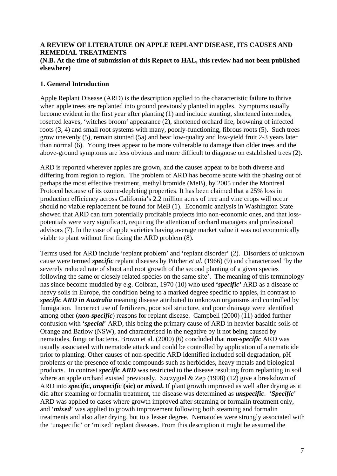#### **A REVIEW OF LITERATURE ON APPLE REPLANT DISEASE, ITS CAUSES AND REMEDIAL TREATMENTS**

#### **(N.B. At the time of submission of this Report to HAL, this review had not been published elsewhere)**

## **1. General Introduction**

Apple Replant Disease (ARD) is the description applied to the characteristic failure to thrive when apple trees are replanted into ground previously planted in apples. Symptoms usually become evident in the first year after planting (1) and include stunting, shortened internodes, rosetted leaves, 'witches broom' appearance (2), shortened orchard life, browning of infected roots (3, 4) and small root systems with many, poorly-functioning, fibrous roots (5). Such trees grow unevenly (5), remain stunted (5a) and bear low-quality and low-yield fruit 2-3 years later than normal (6). Young trees appear to be more vulnerable to damage than older trees and the above-ground symptoms are less obvious and more difficult to diagnose on established trees (2).

ARD is reported wherever apples are grown, and the causes appear to be both diverse and differing from region to region. The problem of ARD has become acute with the phasing out of perhaps the most effective treatment, methyl bromide (MeB), by 2005 under the Montreal Protocol because of its ozone-depleting properties. It has been claimed that a 25% loss in production efficiency across California's 2.2 million acres of tree and vine crops will occur should no viable replacement be found for MeB (1). Economic analysis in Washington State showed that ARD can turn potentially profitable projects into non-economic ones, and that losspotentials were very significant, requiring the attention of orchard managers and professional advisors (7). In the case of apple varieties having average market value it was not economically viable to plant without first fixing the ARD problem (8).

Terms used for ARD include 'replant problem' and 'replant disorder' (2). Disorders of unknown cause were termed *specific* replant diseases by Pitcher *et al.* (1966) (9) and characterized 'by the severely reduced rate of shoot and root growth of the second planting of a given species following the same or closely related species on the same site'. The meaning of this terminology has since become muddied by e.g. Colbran, 1970 (10) who used **'***specific***'** ARD as a disease of heavy soils in Europe, the condition being to a marked degree specific to apples, in contrast to *specific ARD in Australia* meaning disease attributed to unknown organisms and controlled by fumigation. Incorrect use of fertilizers, poor soil structure, and poor drainage were identified among other (*non-specific*) reasons for replant disease. Campbell (2000) (11) added further confusion with '*special*' ARD, this being the primary cause of ARD in heavier basaltic soils of Orange and Batlow (NSW), and characterised in the negative by it not being caused by nematodes, fungi or bacteria. Brown et al. (2000) (6) concluded that *non-specific* ARD was usually associated with nematode attack and could be controlled by application of a nematicide prior to planting. Other causes of non-specific ARD identified included soil degradation, pH problems or the presence of toxic compounds such as herbicides, heavy metals and biological products. In contrast *specific ARD* was restricted to the disease resulting from replanting in soil where an apple orchard existed previously. Szczygiel & Zep (1998) (12) give a breakdown of ARD into *specific***,** *unspecific* **(sic) or** *mixed***.** If plant growth improved as well after drying as it did after steaming or formalin treatment, the disease was determined as *unspecific*. '*Specific*' ARD was applied to cases where growth improved after steaming or formalin treatment only, and '*mixed*' was applied to growth improvement following both steaming and formalin treatments and also after drying, but to a lesser degree. Nematodes were strongly associated with the 'unspecific' or 'mixed' replant diseases. From this description it might be assumed the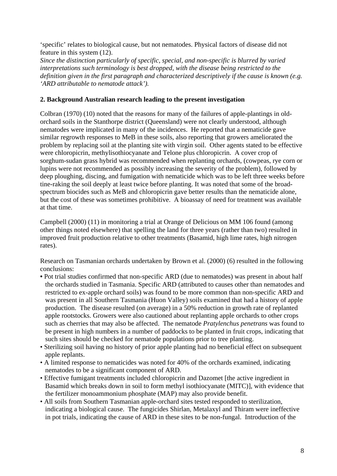'specific' relates to biological cause, but not nematodes. Physical factors of disease did not feature in this system (12).

*Since the distinction particularly of specific, special, and non-specific is blurred by varied interpretations such terminology is best dropped, with the disease being restricted to the definition given in the first paragraph and characterized descriptively if the cause is known (e.g. 'ARD attributable to nematode attack').* 

#### **2. Background Australian research leading to the present investigation**

Colbran (1970) (10) noted that the reasons for many of the failures of apple-plantings in oldorchard soils in the Stanthorpe district (Queensland) were not clearly understood, although nematodes were implicated in many of the incidences. He reported that a nematicide gave similar regrowth responses to MeB in these soils, also reporting that growers ameliorated the problem by replacing soil at the planting site with virgin soil. Other agents stated to be effective were chloropicrin, methylisothiocyanate and Telone plus chloropicrin. A cover crop of sorghum-sudan grass hybrid was recommended when replanting orchards, (cowpeas, rye corn or lupins were not recommended as possibly increasing the severity of the problem), followed by deep ploughing, discing, and fumigation with nematicide which was to be left three weeks before tine-raking the soil deeply at least twice before planting. It was noted that some of the broadspectrum biocides such as MeB and chloropicrin gave better results than the nematicide alone, but the cost of these was sometimes prohibitive. A bioassay of need for treatment was available at that time.

Campbell (2000) (11) in monitoring a trial at Orange of Delicious on MM 106 found (among other things noted elsewhere) that spelling the land for three years (rather than two) resulted in improved fruit production relative to other treatments (Basamid, high lime rates, high nitrogen rates).

Research on Tasmanian orchards undertaken by Brown et al. (2000) (6) resulted in the following conclusions:

- Pot trial studies confirmed that non-specific ARD (due to nematodes) was present in about half the orchards studied in Tasmania. Specific ARD (attributed to causes other than nematodes and restricted to ex-apple orchard soils) was found to be more common than non-specific ARD and was present in all Southern Tasmania (Huon Valley) soils examined that had a history of apple production. The disease resulted (on average) in a 50% reduction in growth rate of replanted apple rootstocks. Growers were also cautioned about replanting apple orchards to other crops such as cherries that may also be affected. The nematode *Pratylenchus penetrans* was found to be present in high numbers in a number of paddocks to be planted in fruit crops, indicating that such sites should be checked for nematode populations prior to tree planting.
- Sterilizing soil having no history of prior apple planting had no beneficial effect on subsequent apple replants.
- A limited response to nematicides was noted for 40% of the orchards examined, indicating nematodes to be a significant component of ARD.
- Effective fumigant treatments included chloropicrin and Dazomet [the active ingredient in Basamid which breaks down in soil to form methyl isothiocyanate (MITC)], with evidence that the fertilizer monoammonium phosphate (MAP) may also provide benefit.
- All soils from Southern Tasmanian apple-orchard sites tested responded to sterilization, indicating a biological cause. The fungicides Shirlan, Metalaxyl and Thiram were ineffective in pot trials, indicating the cause of ARD in these sites to be non-fungal. Introduction of the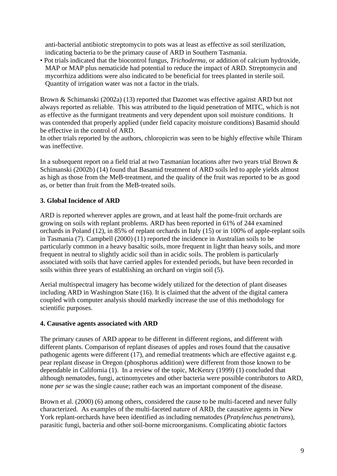anti-bacterial antibiotic streptomycin to pots was at least as effective as soil sterilization, indicating bacteria to be the primary cause of ARD in Southern Tasmania.

• Pot trials indicated that the biocontrol fungus, *Trichoderma*, or addition of calcium hydroxide, MAP or MAP plus nematicide had potential to reduce the impact of ARD. Streptomycin and mycorrhiza additions were also indicated to be beneficial for trees planted in sterile soil. Quantity of irrigation water was not a factor in the trials.

Brown & Schimanski (2002a) (13) reported that Dazomet was effective against ARD but not always reported as reliable. This was attributed to the liquid penetration of MITC, which is not as effective as the furmigant treatments and very dependent upon soil moisture conditions. It was contended that properly applied (under field capacity moisture conditions) Basamid should be effective in the control of ARD.

In other trials reported by the authors, chloropicrin was seen to be highly effective while Thiram was ineffective.

In a subsequent report on a field trial at two Tasmanian locations after two years trial Brown & Schimanski (2002b) (14) found that Basamid treatment of ARD soils led to apple yields almost as high as those from the MeB-treatment, and the quality of the fruit was reported to be as good as, or better than fruit from the MeB-treated soils.

## **3. Global Incidence of ARD**

ARD is reported wherever apples are grown, and at least half the pome-fruit orchards are growing on soils with replant problems. ARD has been reported in 61% of 244 examined orchards in Poland (12), in 85% of replant orchards in Italy (15) or in 100% of apple-replant soils in Tasmania (7). Campbell (2000) (11) reported the incidence in Australian soils to be particularly common in a heavy basaltic soils, more frequent in light than heavy soils, and more frequent in neutral to slightly acidic soil than in acidic soils. The problem is particularly associated with soils that have carried apples for extended periods, but have been recorded in soils within three years of establishing an orchard on virgin soil (5).

Aerial multispectral imagery has become widely utilized for the detection of plant diseases including ARD in Washington State (16). It is claimed that the advent of the digital camera coupled with computer analysis should markedly increase the use of this methodology for scientific purposes.

#### **4. Causative agents associated with ARD**

The primary causes of ARD appear to be different in different regions, and different with different plants. Comparison of replant diseases of apples and roses found that the causative pathogenic agents were different (17), and remedial treatments which are effective against e.g. pear replant disease in Oregon (phosphorus addition) were different from those known to be dependable in California (1). In a review of the topic, McKenry (1999) (1) concluded that although nematodes, fungi, actinomycetes and other bacteria were possible contributors to ARD, none *per se* was the single cause; rather each was an important component of the disease.

Brown et al. (2000) (6) among others, considered the cause to be multi-faceted and never fully characterized. As examples of the multi-faceted nature of ARD, the causative agents in New York replant-orchards have been identified as including nematodes (*Pratylenchus penetrans*), parasitic fungi, bacteria and other soil-borne microorganisms. Complicating abiotic factors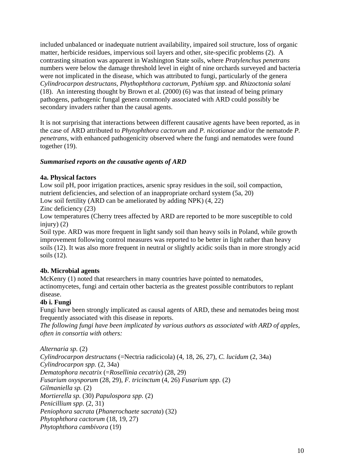included unbalanced or inadequate nutrient availability, impaired soil structure, loss of organic matter, herbicide residues, impervious soil layers and other, site-specific problems (2). A contrasting situation was apparent in Washington State soils, where *Pratylenchus penetrans* numbers were below the damage threshold level in eight of nine orchards surveyed and bacteria were not implicated in the disease, which was attributed to fungi, particularly of the genera *Cylindrocarpon destructans, Phythophthora cactorum, Pythium spp*. and *Rhizoctonia solani*  (18). An interesting thought by Brown et al. (2000) (6) was that instead of being primary pathogens, pathogenic fungal genera commonly associated with ARD could possibly be secondary invaders rather than the causal agents.

It is not surprising that interactions between different causative agents have been reported, as in the case of ARD attributed to *Phytophthora cactorum* and *P. nicotianae* and/or the nematode *P. penetrans*, with enhanced pathogenicity observed where the fungi and nematodes were found together (19).

## *Summarised reports on the causative agents of ARD*

#### **4a. Physical factors**

Low soil pH, poor irrigation practices, arsenic spray residues in the soil, soil compaction, nutrient deficiencies, and selection of an inappropriate orchard system (5a, 20) Low soil fertility (ARD can be ameliorated by adding NPK) (4, 22)

Zinc deficiency (23)

Low temperatures (Cherry trees affected by ARD are reported to be more susceptible to cold injury)  $(2)$ 

Soil type. ARD was more frequent in light sandy soil than heavy soils in Poland, while growth improvement following control measures was reported to be better in light rather than heavy soils (12). It was also more frequent in neutral or slightly acidic soils than in more strongly acid soils (12).

## **4b. Microbial agents**

McKenry (1) noted that researchers in many countries have pointed to nematodes, actinomycetes, fungi and certain other bacteria as the greatest possible contributors to replant disease.

## **4b i. Fungi**

Fungi have been strongly implicated as causal agents of ARD, these and nematodes being most frequently associated with this disease in reports.

*The following fungi have been implicated by various authors as associated with ARD of apples, often in consortia with others:* 

*Alternaria sp.* (2) *Cylindrocarpon destructans* (=Nectria radicicola) (4, 18, 26, 27), *C. lucidum* (2, 34a) *Cylindrocarpon spp.* (2, 34a) *Dematophora necatrix* (=*Rosellinia cecatrix*) (28, 29) *Fusarium oxysporum* (28, 29), *F. tricinctum* (4, 26) *Fusarium spp.* (2) *Gilmaniella sp.* (2) *Mortierella sp.* (30) *Papulospora spp.* (2) *Penicillium spp*. (2, 31) *Peniophora sacrata* (*Phanerochaete sacrata*) (32) *Phytophthora cactorum* (18, 19, 27) *Phytophthora cambivora* (19)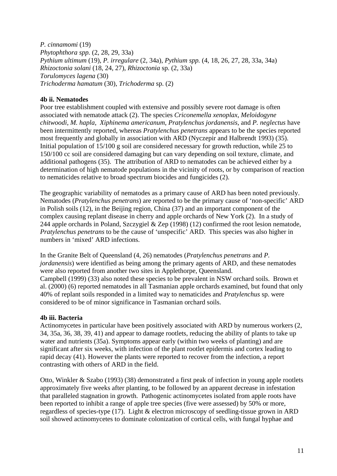*P. cinnamomi* (19) *Phytophthora spp.* (2, 28, 29, 33a) *Pythium ultimum* (19), *P. irregulare* (2, 34a), *Pythium spp.* (4, 18, 26, 27, 28, 33a, 34a) *Rhizoctonia solani* (18, 24, 27), *Rhizoctonia* sp. (2, 33a) *Torulomyces lagena* (30) *Trichoderma hamatum* (30), *Trichoderma* sp. (2)

#### **4b ii. Nematodes**

Poor tree establishment coupled with extensive and possibly severe root damage is often associated with nematode attack (2). The species *Criconemella xenoplax*, *Meloidogyne chitwoodi*, *M. hapla*, *Xiphinema americanum*, *Pratylenchus jordanensis,* and *P. neglectus* have been intermittently reported, whereas *Pratylenchus penetrans* appears to be the species reported most frequently and globally in association with ARD (Nyczepir and Halbrendt 1993) (35). Initial population of 15/100 g soil are considered necessary for growth reduction, while 25 to 150/100 cc soil are considered damaging but can vary depending on soil texture, climate, and additional pathogens (35). The attribution of ARD to nematodes can be achieved either by a determination of high nematode populations in the vicinity of roots, or by comparison of reaction to nematicides relative to broad spectrum biocides and fungicides (2).

The geographic variability of nematodes as a primary cause of ARD has been noted previously. Nematodes (*Pratylenchus penetrans*) are reported to be the primary cause of 'non-specific' ARD in Polish soils (12), in the Beijing region, China (37) and an important component of the complex causing replant disease in cherry and apple orchards of New York (2). In a study of 244 apple orchards in Poland, Szczygiel & Zep (1998) (12) confirmed the root lesion nematode, *Pratylenchus penetrans* to be the cause of 'unspecific' ARD. This species was also higher in numbers in 'mixed' ARD infections.

In the Granite Belt of Queensland (4, 26) nematodes (*Pratylenchus penetrans* and *P. jordanensis*) were identified as being among the primary agents of ARD, and these nematodes were also reported from another two sites in Applethorpe, Queensland. Campbell (1999) (33) also noted these species to be prevalent in NSW orchard soils. Brown et al. (2000) (6) reported nematodes in all Tasmanian apple orchards examined, but found that only 40% of replant soils responded in a limited way to nematicides and *Pratylenchus* sp. were considered to be of minor significance in Tasmanian orchard soils.

#### **4b iii. Bacteria**

Actinomycetes in particular have been positively associated with ARD by numerous workers (2, 34, 35a, 36, 38, 39, 41) and appear to damage rootlets, reducing the ability of plants to take up water and nutrients (35a). Symptoms appear early (within two weeks of planting) and are significant after six weeks, with infection of the plant rootlet epidermis and cortex leading to rapid decay (41). However the plants were reported to recover from the infection, a report contrasting with others of ARD in the field.

Otto, Winkler & Szabo (1993) (38) demonstrated a first peak of infection in young apple rootlets approximately five weeks after planting, to be followed by an apparent decrease in infestation that paralleled stagnation in growth. Pathogenic actinomycetes isolated from apple roots have been reported to inhibit a range of apple tree species (five were assessed) by 50% or more, regardless of species-type (17). Light & electron microscopy of seedling-tissue grown in ARD soil showed actinomycetes to dominate colonization of cortical cells, with fungal hyphae and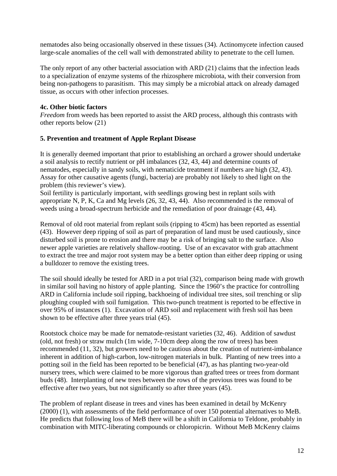nematodes also being occasionally observed in these tissues (34). Actinomycete infection caused large-scale anomalies of the cell wall with demonstrated ability to penetrate to the cell lumen.

The only report of any other bacterial association with ARD (21) claims that the infection leads to a specialization of enzyme systems of the rhizosphere microbiota, with their conversion from being non-pathogens to parasitism. This may simply be a microbial attack on already damaged tissue, as occurs with other infection processes.

#### **4c. Other biotic factors**

*Freedom* from weeds has been reported to assist the ARD process, although this contrasts with other reports below (21)

#### **5. Prevention and treatment of Apple Replant Disease**

It is generally deemed important that prior to establishing an orchard a grower should undertake a soil analysis to rectify nutrient or pH imbalances (32, 43, 44) and determine counts of nematodes, especially in sandy soils, with nematicide treatment if numbers are high (32, 43). Assay for other causative agents (fungi, bacteria) are probably not likely to shed light on the problem (this reviewer's view).

Soil fertility is particularly important, with seedlings growing best in replant soils with appropriate N, P, K, Ca and Mg levels (26, 32, 43, 44). Also recommended is the removal of weeds using a broad-spectrum herbicide and the remediation of poor drainage (43, 44).

Removal of old root material from replant soils (ripping to 45cm) has been reported as essential (43). However deep ripping of soil as part of preparation of land must be used cautiously, since disturbed soil is prone to erosion and there may be a risk of bringing salt to the surface. Also newer apple varieties are relatively shallow-rooting. Use of an excavator with grab attachment to extract the tree and major root system may be a better option than either deep ripping or using a bulldozer to remove the existing trees.

The soil should ideally be tested for ARD in a pot trial (32), comparison being made with growth in similar soil having no history of apple planting. Since the 1960's the practice for controlling ARD in California include soil ripping, backhoeing of individual tree sites, soil trenching or slip ploughing coupled with soil fumigation. This two-punch treatment is reported to be effective in over 95% of instances (1). Excavation of ARD soil and replacement with fresh soil has been shown to be effective after three years trial (45).

Rootstock choice may be made for nematode-resistant varieties (32, 46). Addition of sawdust (old, not fresh) or straw mulch (1m wide, 7-10cm deep along the row of trees) has been recommended (11, 32), but growers need to be cautious about the creation of nutrient-imbalance inherent in addition of high-carbon, low-nitrogen materials in bulk. Planting of new trees into a potting soil in the field has been reported to be beneficial (47), as has planting two-year-old nursery trees, which were claimed to be more vigorous than grafted trees or trees from dormant buds (48). Interplanting of new trees between the rows of the previous trees was found to be effective after two years, but not significantly so after three years (45).

The problem of replant disease in trees and vines has been examined in detail by McKenry (2000) (1), with assessments of the field performance of over 150 potential alternatives to MeB. He predicts that following loss of MeB there will be a shift in California to Teldone, probably in combination with MITC-liberating compounds or chloropicrin. Without MeB McKenry claims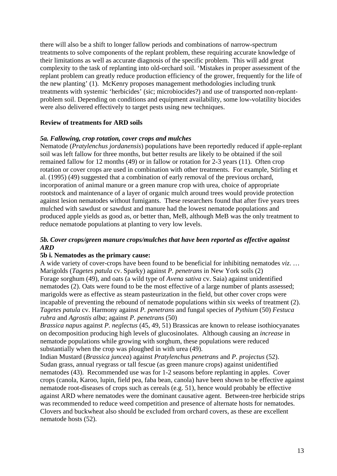there will also be a shift to longer fallow periods and combinations of narrow-spectrum treatments to solve components of the replant problem, these requiring accurate knowledge of their limitations as well as accurate diagnosis of the specific problem. This will add great complexity to the task of replanting into old-orchard soil. 'Mistakes in proper assessment of the replant problem can greatly reduce production efficiency of the grower, frequently for the life of the new planting' (1). McKenry proposes management methodologies including trunk treatments with systemic 'herbicides' (sic; microbiocides?) and use of transported non-replantproblem soil. Depending on conditions and equipment availability, some low-volatility biocides were also delivered effectively to target pests using new techniques.

#### **Review of treatments for ARD soils**

#### *5a. Fallowing, crop rotation, cover crops and mulches*

Nematode (*Pratylenchus jordanensis*) populations have been reportedly reduced if apple-replant soil was left fallow for three months, but better results are likely to be obtained if the soil remained fallow for 12 months (49) or in fallow or rotation for 2-3 years (11). Often crop rotation or cover crops are used in combination with other treatments. For example, Stirling et al. (1995) (49) suggested that a combination of early removal of the previous orchard, incorporation of animal manure or a green manure crop with urea, choice of appropriate rootstock and maintenance of a layer of organic mulch around trees would provide protection against lesion nematodes without fumigants. These researchers found that after five years trees mulched with sawdust or sawdust and manure had the lowest nematode populations and produced apple yields as good as, or better than, MeB, although MeB was the only treatment to reduce nematode populations at planting to very low levels.

#### *5b. Cover crops/green manure crops/mulches that have been reported as effective against ARD*

#### **5b i. Nematodes as the primary cause:**

A wide variety of cover-crops have been found to be beneficial for inhibiting nematodes *viz*. … Marigolds (*Tagetes patula* cv. Sparky) against *P. penetrans* in New York soils (2) Forage sorghum (49), and oats (a wild type of *Avena sativa* cv. Saia) against unidentified nematodes (2). Oats were found to be the most effective of a large number of plants assessed; marigolds were as effective as steam pasteurization in the field, but other cover crops were incapable of preventing the rebound of nematode populations within six weeks of treatment (2). *Tagetes patula* cv. Harmony against *P. penetrans* and fungal species of *Pythium* (50) *Festuca rubra* and *Agrostis alba*; against *P. penetrans* (50)

*Brassica napus* against *P. neglectus* (45, 49, 51) Brassicas are known to release isothiocyanates on decomposition producing high levels of glucosinolates. Although causing an *increase* in nematode populations while growing with sorghum, these populations were reduced substantially when the crop was ploughed in with urea (49).

Indian Mustard (*Brassica juncea*) against *Pratylenchus penetrans* and *P. projectus* (52). Sudan grass, annual ryegrass or tall fescue (as green manure crops) against unidentified nematodes (43). Recommended use was for 1-2 seasons before replanting in apples. Cover crops (canola, Karoo, lupin, field pea, faba bean, canola) have been shown to be effective against nematode root-diseases of crops such as cereals (e.g. 51), hence would probably be effective against ARD where nematodes were the dominant causative agent. Between-tree herbicide strips was recommended to reduce weed competition and presence of alternate hosts for nematodes. Clovers and buckwheat also should be excluded from orchard covers, as these are excellent nematode hosts (52).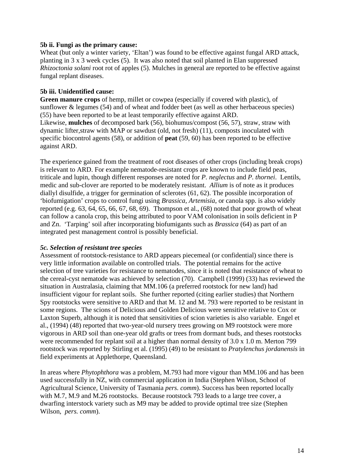#### **5b ii. Fungi as the primary cause:**

Wheat (but only a winter variety, 'Eltan') was found to be effective against fungal ARD attack, planting in 3 x 3 week cycles (5). It was also noted that soil planted in Elan suppressed *Rhizoctonia solani* root rot of apples (5). Mulches in general are reported to be effective against fungal replant diseases.

#### **5b iii. Unidentified cause:**

**Green manure crops** of hemp, millet or cowpea (especially if covered with plastic), of sunflower & legumes (54) and of wheat and fodder beet (as well as other herbaceous species) (55) have been reported to be at least temporarily effective against ARD. Likewise, **mulches** of decomposed bark (56), biohumus/compost (56, 57), straw, straw with dynamic lifter,straw with MAP or sawdust (old, not fresh) (11), composts inoculated with specific biocontrol agents (58), or addition of **peat** (59, 60) has been reported to be effective against ARD.

The experience gained from the treatment of root diseases of other crops (including break crops) is relevant to ARD. For example nematode-resistant crops are known to include field peas, triticale and lupin, though different responses are noted for *P. neglectus* and *P. thornei*. Lentils, medic and sub-clover are reported to be moderately resistant. *Allium* is of note as it produces diallyl disulfide, a trigger for germination of sclerotes (61, 62). The possible incorporation of 'biofumigation' crops to control fungi using *Brassica*, *Artemisia*, or canola spp. is also widely reported (e.g. 63, 64, 65, 66, 67, 68, 69). Thompson et al., (68) noted that poor growth of wheat can follow a canola crop, this being attributed to poor VAM colonisation in soils deficient in P and Zn. 'Tarping' soil after incorporating biofumigants such as *Brassica* (64) as part of an integrated pest management control is possibly beneficial.

#### *5c. Selection of resistant tree species*

Assessment of rootstock-resistance to ARD appears piecemeal (or confidential) since there is very little information available on controlled trials. The potential remains for the active selection of tree varieties for resistance to nematodes, since it is noted that resistance of wheat to the cereal-cyst nematode was achieved by selection (70). Campbell (1999) (33) has reviewed the situation in Australasia, claiming that MM.106 (a preferred rootstock for new land) had insufficient vigour for replant soils. She further reported (citing earlier studies) that Northern Spy rootstocks were sensitive to ARD and that M. 12 and M. 793 were reported to be resistant in some regions. The scions of Delicious and Golden Delicious were sensitive relative to Cox or Laxton Superb, although it is noted that sensitivities of scion varieties is also variable. Engel et al., (1994) (48) reported that two-year-old nursery trees growing on M9 rootstock were more vigorous in ARD soil than one-year old grafts or trees from dormant buds, and theses rootstocks were recommended for replant soil at a higher than normal density of 3.0 x 1.0 m. Merton 799 rootstock was reported by Stirling et al. (1995) (49) to be resistant to *Pratylenchus jordanensis* in field experiments at Applethorpe, Queensland.

In areas where *Phytophthora* was a problem, M.793 had more vigour than MM.106 and has been used successfully in NZ, with commercial application in India (Stephen Wilson, School of Agricultural Science, University of Tasmania *pers. comm*). Success has been reported locally with M.7, M.9 and M.26 rootstocks. Because rootstock 793 leads to a large tree cover, a dwarfing interstock variety such as M9 may be added to provide optimal tree size (Stephen Wilson, *pers. comm*).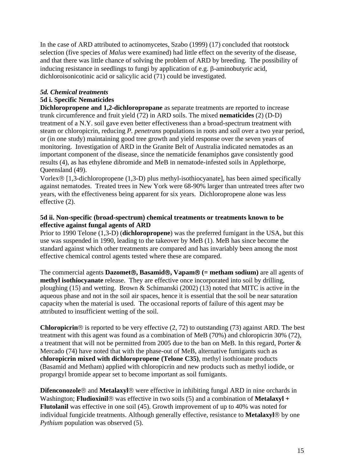In the case of ARD attributed to actinomycetes, Szabo (1999) (17) concluded that rootstock selection (five species of *Malus* were examined) had little effect on the severity of the disease, and that there was little chance of solving the problem of ARD by breeding. The possibility of inducing resistance in seedlings to fungi by application of e.g. β-aminobutyric acid, dichloroisonicotinic acid or salicylic acid (71) could be investigated.

## *5d. Chemical treatments*

#### **5d i. Specific Nematicides**

**Dichloropropene and 1,2-dichloropropane** as separate treatments are reported to increase trunk circumference and fruit yield (72) in ARD soils. The mixed **nematicides** (2) (D-D) treatment of a N.Y. soil gave even better effectiveness than a broad-spectrum treatment with steam or chloropicrin, reducing *P. penetrans* populations in roots and soil over a two year period, or (in one study) maintaining good tree growth and yield response over the seven years of monitoring. Investigation of ARD in the Granite Belt of Australia indicated nematodes as an important component of the disease, since the nematicide fenamiphos gave consistently good results (4), as has ethylene dibromide and MeB in nematode-infested soils in Applethorpe, Queensland (49).

Vorlex® [1,3-dichloropropene (1,3-D) plus methyl-isothiocyanate], has been aimed specifically against nematodes. Treated trees in New York were 68-90% larger than untreated trees after two years, with the effectiveness being apparent for six years. Dichloropropene alone was less effective (2).

#### **5d ii. Non-specific (broad-spectrum) chemical treatments or treatments known to be effective against fungal agents of ARD**

Prior to 1990 Telone (1,3-D) (**dichloropropene**) was the preferred fumigant in the USA, but this use was suspended in 1990, leading to the takeover by MeB (1). MeB has since become the standard against which other treatments are compared and has invariably been among the most effective chemical control agents tested where these are compared.

The commercial agents **Dazomet**®**, Basamid**®**, Vapam**® **(= metham sodium)** are all agents of **methyl isothiocyanate** release. They are effective once incorporated into soil by drilling, ploughing (15) and wetting. Brown & Schimanski (2002) (13) noted that MITC is active in the aqueous phase and not in the soil air spaces, hence it is essential that the soil be near saturation capacity when the material is used. The occasional reports of failure of this agent may be attributed to insufficient wetting of the soil.

**Chloropicrin**® is reported to be very effective (2, 72) to outstanding (73) against ARD. The best treatment with this agent was found as a combination of MeB (70%) and chloropicrin 30% (72), a treatment that will not be permitted from 2005 due to the ban on MeB. In this regard, Porter & Mercado (74) have noted that with the phase-out of MeB, alternative fumigants such as **chloropicrin mixed with dichloropropene (Telone C35)**, methyl isothionate products (Basamid and Metham) applied with chloropicrin and new products such as methyl iodide, or propargyl bromide appear set to become important as soil fumigants.

**Difenconozole**® and **Metalaxyl**® were effective in inhibiting fungal ARD in nine orchards in Washington; **Fludioxinil**<sup>®</sup> was effective in two soils (5) and a combination of **Metalaxyl** + **Flutolanil** was effective in one soil (45). Growth improvement of up to 40% was noted for individual fungicide treatments. Although generally effective, resistance to **Metalaxyl**® by one *Pythium* population was observed (5).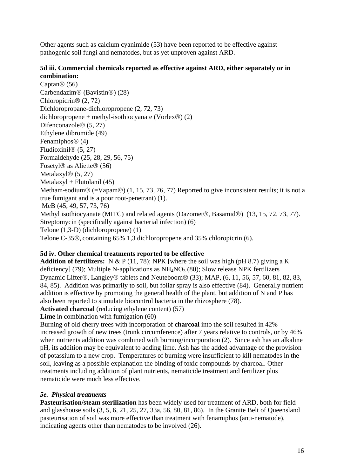Other agents such as calcium cyanimide (53) have been reported to be effective against pathogenic soil fungi and nematodes, but as yet unproven against ARD.

#### **5d iii. Commercial chemicals reported as effective against ARD, either separately or in combination:**

Captan®  $(56)$ Carbendazim® (Bavistin®) (28) Chloropicrin® (2, 72) Dichloropropane-dichloropropene (2, 72, 73) dichloropropene + methyl-isothiocyanate (Vorlex®)  $(2)$ Difenconazole® (5, 27) Ethylene dibromide (49) Fenamiphos® (4) Fludioxinil® (5, 27) Formaldehyde (25, 28, 29, 56, 75) Fosetyl® as Aliette® (56) Metalaxyl<sup>®</sup> (5, 27)  $Metalaxyl + Flutolanil (45)$ Metham-sodium® (=Vapam®) (1, 15, 73, 76, 77) Reported to give inconsistent results; it is not a true fumigant and is a poor root-penetrant) (1). MeB (45, 49, 57, 73, 76) Methyl isothiocyanate (MITC) and related agents (Dazomet®, Basamid®) (13, 15, 72, 73, 77). Streptomycin (specifically against bacterial infection) (6) Telone (1,3-D) (dichloropropene) (1) Telone C-35®, containing 65% 1,3 dichloropropene and 35% chloropicrin (6).

## **5d iv. Other chemical treatments reported to be effective**

**Addition of fertilizers:** N & P (11, 78); NPK [where the soil was high (pH 8.7) giving a K deficiency] (79); Multiple N-applications as  $NH<sub>4</sub>NO<sub>3</sub>$  (80); Slow release NPK fertilizers Dynamic Lifter®, Langley® tablets and Neuteboom® (33); MAP, (6, 11, 56, 57, 60, 81, 82, 83, 84, 85). Addition was primarily to soil, but foliar spray is also effective (84). Generally nutrient addition is effective by promoting the general health of the plant, but addition of N and P has also been reported to stimulate biocontrol bacteria in the rhizosphere (78).

**Activated charcoal** (reducing ethylene content) (57)

Lime in combination with fumigation (60)

Burning of old cherry trees with incorporation of **charcoal** into the soil resulted in 42% increased growth of new trees (trunk circumference) after 7 years relative to controls, or by 46% when nutrients addition was combined with burning/incorporation (2). Since ash has an alkaline pH, its addition may be equivalent to adding lime. Ash has the added advantage of the provision of potassium to a new crop. Temperatures of burning were insufficient to kill nematodes in the soil, leaving as a possible explanation the binding of toxic compounds by charcoal. Other treatments including addition of plant nutrients, nematicide treatment and fertilizer plus nematicide were much less effective.

#### *5e. Physical treatments*

**Pasteurisation/steam sterilization** has been widely used for treatment of ARD, both for field and glasshouse soils (3, 5, 6, 21, 25, 27, 33a, 56, 80, 81, 86). In the Granite Belt of Queensland pasteurisation of soil was more effective than treatment with fenamiphos (anti-nematode), indicating agents other than nematodes to be involved (26).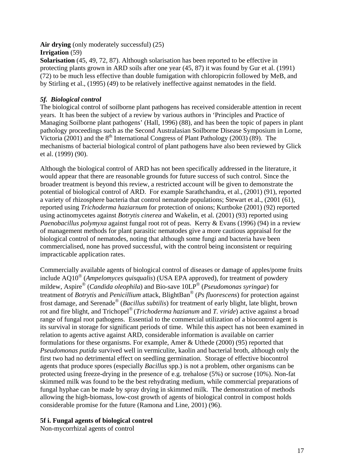#### **Air drying** (only moderately successful) (25) **Irrigation** (59)

**Solarisation** (45, 49, 72, 87). Although solarisation has been reported to be effective in protecting plants grown in ARD soils after one year (45, 87) it was found by Gur et al. (1991) (72) to be much less effective than double fumigation with chloropicrin followed by MeB, and by Stirling et al., (1995) (49) to be relatively ineffective against nematodes in the field.

# *5f. Biological control*

The biological control of soilborne plant pathogens has received considerable attention in recent years. It has been the subject of a review by various authors in 'Principles and Practice of Managing Soilborne plant pathogens' (Hall, 1996) (88), and has been the topic of papers in plant pathology proceedings such as the Second Australasian Soilborne Disease Symposium in Lorne, Victoria (2001) and the  $8<sup>th</sup>$  International Congress of Plant Pathology (2003) (89). The mechanisms of bacterial biological control of plant pathogens have also been reviewed by Glick et al. (1999) (90).

Although the biological control of ARD has not been specifically addressed in the literature, it would appear that there are reasonable grounds for future success of such control. Since the broader treatment is beyond this review, a restricted account will be given to demonstrate the potential of biological control of ARD. For example Sarathchandra, et al., (2001) (91), reported a variety of rhizosphere bacteria that control nematode populations; Stewart et al., (2001 (61), reported using *Trichoderma haziarnum* for protection of onions; Kurtboke (2001) (92) reported using actinomycetes against *Botrytis cinerea* and Wakelin, et al. (2001) (93) reported using *Paenobacillus polymyxa* against fungal root rot of peas. Kerry & Evans (1996) (94) in a review of management methods for plant parasitic nematodes give a more cautious appraisal for the biological control of nematodes, noting that although some fungi and bacteria have been commercialised, none has proved successful, with the control being inconsistent or requiring impracticable application rates.

Commercially available agents of biological control of diseases or damage of apples/pome fruits include AQ10® (*Ampelomyces quisqualis*) (USA EPA approved), for treatment of powdery mildew, Aspire® (*Candida oleophila*) and Bio-save 10LP® (*Pseudomonas syringae*) for treatment of *Botrytis* and *Penicillium* attack, BlightBan® (*Ps fluorescens*) for protection against frost damage, and Serenade® (*Bacillus subtilis*) for treatment of early blight, late blight, brown rot and fire blight, and Trichopel® (*Trichoderma hazianum* and *T. viride*) active against a broad range of fungal root pathogens. Essential to the commercial utilization of a biocontrol agent is its survival in storage for significant periods of time. While this aspect has not been examined in relation to agents active against ARD, considerable information is available on carrier formulations for these organisms. For example, Amer & Uthede (2000) (95) reported that *Pseudomonas putida* survived well in vermiculite, kaolin and bacterial broth, although only the first two had no detrimental effect on seedling germination. Storage of effective biocontrol agents that produce spores (especially *Bacillus* spp.) is not a problem, other organisms can be protected using freeze-drying in the presence of e.g. trehalose (5%) or sucrose (10%). Non-fat skimmed milk was found to be the best rehydrating medium, while commercial preparations of fungal hyphae can be made by spray drying in skimmed milk. The demonstration of methods allowing the high-biomass, low-cost growth of agents of biological control in compost holds considerable promise for the future (Ramona and Line, 2001) (96).

# **5f i. Fungal agents of biological control**

Non-mycorrhizal agents of control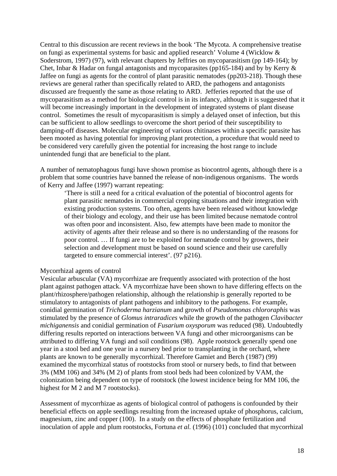Central to this discussion are recent reviews in the book 'The Mycota. A comprehensive treatise on fungi as experimental systems for basic and applied research' Volume 4 (Wicklow & Soderstrom, 1997) (97), with relevant chapters by Jeffries on mycoparasitism (pp 149-164); by Chet, Inbar & Hadar on fungal antagonists and mycoparasites (pp165-184) and by by Kerry & Jaffee on fungi as agents for the control of plant parasitic nematodes (pp203-218). Though these reviews are general rather than specifically related to ARD, the pathogens and antagonists discussed are frequently the same as those relating to ARD. Jefferies reported that the use of mycoparasitism as a method for biological control is in its infancy, although it is suggested that it will become increasingly important in the development of integrated systems of plant disease control. Sometimes the result of mycoparasitism is simply a delayed onset of infection, but this can be sufficient to allow seedlings to overcome the short period of their susceptibility to damping-off diseases. Molecular engineering of various chitinases within a specific parasite has been mooted as having potential for improving plant protection, a procedure that would need to be considered very carefully given the potential for increasing the host range to include unintended fungi that are beneficial to the plant.

A number of nematophagous fungi have shown promise as biocontrol agents, although there is a problem that some countries have banned the release of non-indigenous organisms. The words of Kerry and Jaffee (1997) warrant repeating:

'There is still a need for a critical evaluation of the potential of biocontrol agents for plant parasitic nematodes in commercial cropping situations and their integration with existing production systems. Too often, agents have been released without knowledge of their biology and ecology, and their use has been limited because nematode control was often poor and inconsistent. Also, few attempts have been made to monitor the activity of agents after their release and so there is no understanding of the reasons for poor control. … If fungi are to be exploited for nematode control by growers, their selection and development must be based on sound science and their use carefully targeted to ensure commercial interest'. (97 p216).

#### Mycorrhizal agents of control

Vesicular arbuscular (VA) mycorrhizae are frequently associated with protection of the host plant against pathogen attack. VA mycorrhizae have been shown to have differing effects on the plant/rhizosphere/pathogen relationship, although the relationship is generally reported to be stimulatory to antagonists of plant pathogens and inhibitory to the pathogens. For example, conidial germination of *Trichoderma harzianum* and growth of *Pseudomonas chlororaphis* was stimulated by the presence of *Glomus intraradices* while the growth of the pathogen *Clavibacter michiganensis* and conidial germination of *Fusarium oxysporum* was reduced (98). Undoubtedly differing results reported on interactions between VA fungi and other microorganisms can be attributed to differing VA fungi and soil conditions (98). Apple rootstock generally spend one year in a stool bed and one year in a nursery bed prior to transplanting in the orchard, where plants are known to be generally mycorrhizal. Therefore Gamiet and Berch (1987) (99) examined the mycorrhizal status of rootstocks from stool or nursery beds, to find that between 3% (MM 106) and 34% (M 2) of plants from stool beds had been colonized by VAM, the colonization being dependent on type of rootstock (the lowest incidence being for MM 106, the highest for M 2 and M 7 rootstocks).

Assessment of mycorrhizae as agents of biological control of pathogens is confounded by their beneficial effects on apple seedlings resulting from the increased uptake of phosphorus, calcium, magnesium, zinc and copper (100).In a study on the effects of phosphate fertilization and inoculation of apple and plum rootstocks, Fortuna *et al.* (1996) (101) concluded that mycorrhizal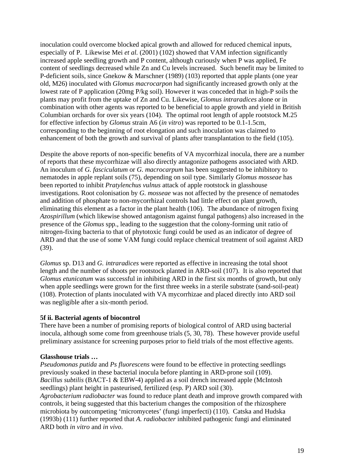inoculation could overcome blocked apical growth and allowed for reduced chemical inputs, especially of P. Likewise Mei *et al.* (2001) (102) showed that VAM infection significantly increased apple seedling growth and P content, although curiously when P was applied, Fe content of seedlings decreased while Zn and Cu levels increased. Such benefit may be limited to P-deficient soils, since Gnekow & Marschner (1989) (103) reported that apple plants (one year old, M26) inoculated with *Glomus macrocarpon* had significantly increased growth only at the lowest rate of P application (20mg P/kg soil). However it was conceded that in high-P soils the plants may profit from the uptake of Zn and Cu. Likewise, *Glomus intraradices* alone or in combination with other agents was reported to be beneficial to apple growth and yield in British Columbian orchards for over six years (104). The optimal root length of apple rootstock M.25 for effective infection by *Glomus* strain A6 (*in vitro*) was reported to be 0.1-1.5cm, corresponding to the beginning of root elongation and such inoculation was claimed to enhancement of both the growth and survival of plants after transplantation to the field (105).

Despite the above reports of non-specific benefits of VA mycorrhizal inocula, there are a number of reports that these mycorrhizae will also directly antagonize pathogens associated with ARD. An inoculum of *G. fasciculatum* or *G. macrocarpum* has been suggested to be inhibitory to nematodes in apple replant soils (75), depending on soil type. Similarly *Glomus mosseae* has been reported to inhibit *Pratylenchus vulnus* attack of apple rootstock in glasshouse investigations. Root colonisation by *G. mosseae* was not affected by the presence of nematodes and addition of phosphate to non-mycorrhizal controls had little effect on plant growth, eliminating this element as a factor in the plant health (106). The abundance of nitrogen fixing *Azospirillum* (which likewise showed antagonism against fungal pathogens) also increased in the presence of the *Glomus* spp., leading to the suggestion that the colony-forming unit ratio of nitrogen-fixing bacteria to that of phytotoxic fungi could be used as an indicator of degree of ARD and that the use of some VAM fungi could replace chemical treatment of soil against ARD (39).

*Glomus* sp. D13 and *G. intraradices* were reported as effective in increasing the total shoot length and the number of shoots per rootstock planted in ARD-soil (107). It is also reported that *Glomus etunicatum* was successful in inhibiting ARD in the first six months of growth, but only when apple seedlings were grown for the first three weeks in a sterile substrate (sand-soil-peat) (108). Protection of plants inoculated with VA mycorrhizae and placed directly into ARD soil was negligible after a six-month period.

#### **5f ii. Bacterial agents of biocontrol**

There have been a number of promising reports of biological control of ARD using bacterial inocula, although some come from greenhouse trials (5, 30, 78). These however provide useful preliminary assistance for screening purposes prior to field trials of the most effective agents.

#### **Glasshouse trials …**

*Pseudomonas putida* and *Ps fluorescens* were found to be effective in protecting seedlings previously soaked in these bacterial inocula before planting in ARD-prone soil (109). *Bacillus subtilis* (BACT-1 & EBW-4) applied as a soil drench increased apple (McIntosh seedlings) plant height in pasteurised, fertilized (esp. P) ARD soil (30). *Agrobacterium radiobacter* was found to reduce plant death and improve growth compared with controls, it being suggested that this bacterium changes the composition of the rhizosphere microbiota by outcompeting 'micromycetes' (fungi imperfecti) (110). Catska and Hudska (1993b) (111) further reported that *A. radiobacter* inhibited pathogenic fungi and eliminated ARD both *in vitro* and *in vivo*.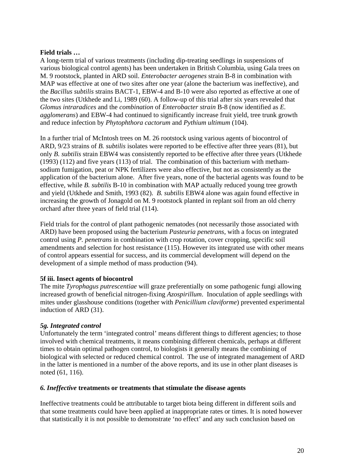#### **Field trials …**

A long-term trial of various treatments (including dip-treating seedlings in suspensions of various biological control agents) has been undertaken in British Columbia, using Gala trees on M. 9 rootstock, planted in ARD soil. *Enterobacter aerogenes* strain B-8 in combination with MAP was effective at one of two sites after one year (alone the bacterium was ineffective), and the *Bacillus subtilis* strains BACT-1, EBW-4 and B-10 were also reported as effective at one of the two sites (Utkhede and Li, 1989 (60). A follow-up of this trial after six years revealed that *Glomus intraradices* and the *combination* of *Enterobacter strain* B-8 (now identified as *E. agglomerans*) and EBW-4 had continued to significantly increase fruit yield, tree trunk growth and reduce infection by *Phytophthora cactorum* and *Pythium ultimum* (104).

In a further trial of McIntosh trees on M. 26 rootstock using various agents of biocontrol of ARD, 9/23 strains of *B. subtilis* isolates were reported to be effective after three years (81), but only *B. subtilis* strain EBW4 was consistently reported to be effective after three years (Utkhede (1993) (112) and five years (113) of trial. The combination of this bacterium with methamsodium fumigation, peat or NPK fertilizers were also effective, but not as consistently as the application of the bacterium alone. After five years, none of the bacterial agents was found to be effective, while *B. subtilis* B-10 in combination with MAP actually reduced young tree growth and yield (Utkhede and Smith, 1993 (82). *B. subtilis* EBW4 alone was again found effective in increasing the growth of Jonagold on M. 9 rootstock planted in replant soil from an old cherry orchard after three years of field trial (114).

Field trials for the control of plant pathogenic nematodes (not necessarily those associated with ARD) have been proposed using the bacterium *Pasteuria penetrans*, with a focus on integrated control using *P. penetrans* in combination with crop rotation, cover cropping, specific soil amendments and selection for host resistance (115). However its integrated use with other means of control appears essential for success, and its commercial development will depend on the development of a simple method of mass production (94).

#### **5f iii. Insect agents of biocontrol**

The mite *Tyrophagus putrescentiae* will graze preferentially on some pathogenic fungi allowing increased growth of beneficial nitrogen-fixing *Azospirillum*. Inoculation of apple seedlings with mites under glasshouse conditions (together with *Penicillium claviforme*) prevented experimental induction of ARD (31).

#### *5g. Integrated control*

Unfortunately the term 'integrated control' means different things to different agencies; to those involved with chemical treatments, it means combining different chemicals, perhaps at different times to obtain optimal pathogen control, to biologists it generally means the combining of biological with selected or reduced chemical control. The use of integrated management of ARD in the latter is mentioned in a number of the above reports, and its use in other plant diseases is noted (61, 116).

#### *6. Ineffective* **treatments or treatments that stimulate the disease agents**

Ineffective treatments could be attributable to target biota being different in different soils and that some treatments could have been applied at inappropriate rates or times. It is noted however that statistically it is not possible to demonstrate 'no effect' and any such conclusion based on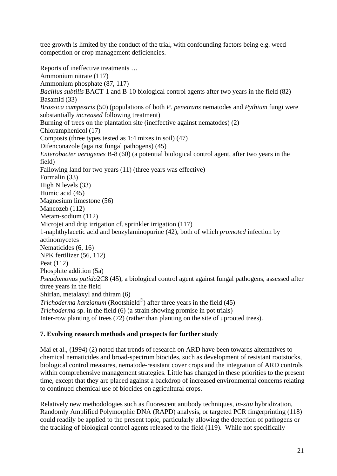tree growth is limited by the conduct of the trial, with confounding factors being e.g. weed competition or crop management deficiencies.

Reports of ineffective treatments … Ammonium nitrate (117) Ammonium phosphate (87, 117) *Bacillus subtilis* BACT-1 and B-10 biological control agents after two years in the field (82) Basamid (33) *Brassica campestris* (50) (populations of both *P. penetrans* nematodes and *Pythium* fungi were substantially *increased* following treatment) Burning of trees on the plantation site (ineffective against nematodes) (2) Chloramphenicol (17) Composts (three types tested as 1:4 mixes in soil) (47) Difenconazole (against fungal pathogens) (45) *Enterobacter aerogenes* B-8 (60) (a potential biological control agent, after two years in the field) Fallowing land for two years (11) (three years was effective) Formalin (33) High N levels (33) Humic acid (45) Magnesium limestone (56) Mancozeb (112) Metam-sodium (112) Microjet and drip irrigation cf. sprinkler irrigation (117) 1-naphthylacetic acid and benzylaminopurine (42), both of which *promoted* infection by actinomycetes Nematicides (6, 16) NPK fertilizer (56, 112) Peat (112) Phosphite addition (5a) *Pseudomonas putida*2C8 (45), a biological control agent against fungal pathogens, assessed after three years in the field Shirlan, metalaxyl and thiram (6) *Trichoderma harzianum* (Rootshield®) after three years in the field (45) *Trichoderma* sp. in the field (6) (a strain showing promise in pot trials) Inter-row planting of trees (72) (rather than planting on the site of uprooted trees).

## **7. Evolving research methods and prospects for further study**

Mai et al., (1994) (2) noted that trends of research on ARD have been towards alternatives to chemical nematicides and broad-spectrum biocides, such as development of resistant rootstocks, biological control measures, nematode-resistant cover crops and the integration of ARD controls within comprehensive management strategies. Little has changed in these priorities to the present time, except that they are placed against a backdrop of increased environmental concerns relating to continued chemical use of biocides on agricultural crops.

Relatively new methodologies such as fluorescent antibody techniques, *in-situ* hybridization, Randomly Amplified Polymorphic DNA (RAPD) analysis, or targeted PCR fingerprinting (118) could readily be applied to the present topic, particularly allowing the detection of pathogens or the tracking of biological control agents released to the field (119). While not specifically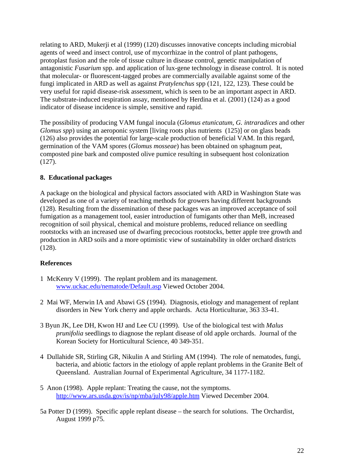relating to ARD, Mukerji et al (1999) (120) discusses innovative concepts including microbial agents of weed and insect control, use of mycorrhizae in the control of plant pathogens, protoplast fusion and the role of tissue culture in disease control, genetic manipulation of antagonistic *Fusarium* spp. and application of lux-gene technology in disease control. It is noted that molecular- or fluorescent-tagged probes are commercially available against some of the fungi implicated in ARD as well as against *Pratylenchus* spp (121, 122, 123). These could be very useful for rapid disease-risk assessment, which is seen to be an important aspect in ARD. The substrate-induced respiration assay, mentioned by Herdina et al. (2001) (124) as a good indicator of disease incidence is simple, sensitive and rapid.

The possibility of producing VAM fungal inocula (*Glomus etunicatum, G. intraradices* and other *Glomus spp*) using an aeroponic system [living roots plus nutrients (125)] or on glass beads (126) also provides the potential for large-scale production of beneficial VAM. In this regard, germination of the VAM spores (*Glomus mosseae*) has been obtained on sphagnum peat, composted pine bark and composted olive pumice resulting in subsequent host colonization (127).

## **8. Educational packages**

A package on the biological and physical factors associated with ARD in Washington State was developed as one of a variety of teaching methods for growers having different backgrounds (128). Resulting from the dissemination of these packages was an improved acceptance of soil fumigation as a management tool, easier introduction of fumigants other than MeB, increased recognition of soil physical, chemical and moisture problems, reduced reliance on seedling rootstocks with an increased use of dwarfing precocious rootstocks, better apple tree growth and production in ARD soils and a more optimistic view of sustainability in older orchard districts (128).

#### **References**

- 1 McKenry V (1999). The replant problem and its management. www.uckac.edu/nematode/Default.asp Viewed October 2004.
- 2 Mai WF, Merwin IA and Abawi GS (1994). Diagnosis, etiology and management of replant disorders in New York cherry and apple orchards. Acta Horticulturae, 363 33-41.
- 3 Byun JK, Lee DH, Kwon HJ and Lee CU (1999). Use of the biological test with *Malus prunifolia* seedlings to diagnose the replant disease of old apple orchards. Journal of the Korean Society for Horticultural Science, 40 349-351.
- 4 Dullahide SR, Stirling GR, Nikulin A and Stirling AM (1994). The role of nematodes, fungi, bacteria, and abiotic factors in the etiology of apple replant problems in the Granite Belt of Queensland. Australian Journal of Experimental Agriculture, 34 1177-1182.
- 5 Anon (1998). Apple replant: Treating the cause, not the symptoms. http://www.ars.usda.gov/is/np/mba/july98/apple.htm Viewed December 2004.
- 5a Potter D (1999). Specific apple replant disease the search for solutions. The Orchardist, August 1999 p75.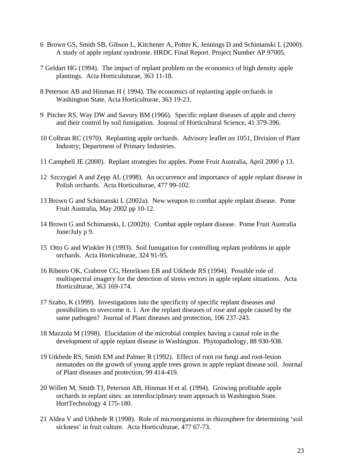- 6 Brown GS, Smith SB, Gibson L, Kitchener A, Potter K, Jennings D and Schimanski L (2000). A study of apple replant syndrome. HRDC Final Report. Project Number AP 97005.
- 7 Geldart HG (1994). The impact of replant problem on the economics of high density apple plantings. Acta Horticuluturae, 363 11-18.
- 8 Peterson AB and Hinman H ( 1994). The economics of replanting apple orchards in Washington State. Acta Horticulturae, 363 19-23.
- 9 Pitcher RS, Way DW and Savory BM (1966). Specific replant diseases of apple and cherry and their control by soil fumigation. Journal of Horticultural Science, 41 379-396.
- 10 Colbran RC (1970). Replanting apple orchards. Advisory leaflet no 1051, Division of Plant Industry; Department of Primary Industries.
- 11 Campbell JE (2000). Replant strategies for apples. Pome Fruit Australia, April 2000 p 13.
- 12 Szczygiel A and Zepp AL (1998). An occurrence and importance of apple replant disease in Polish orchards. Acta Horticulturae, 477 99-102.
- 13 Brown G and Schimanski L (2002a). New weapon to combat apple replant disease. Pome Fruit Australia, May 2002 pp 10-12.
- 14 Brown G and Schimanski, L (2002b). Combat apple replant disease. Pome Fruit Australia June/July p 9.
- 15 Otto G and Winkler H (1993). Soil fumigation for controlling replant problems in apple orchards. Acta Horticulturae, 324 91-95.
- 16 Ribeiro OK, Crabtree CG, Henriksen EB and Utkhede RS (1994). Possible role of multispectral imagery for the detection of stress vectors in apple replant situations. Acta Horticulturae, 363 169-174.
- 17 Szabo, K (1999). Investigations into the specificity of specific replant diseases and possibilities to overcome it. 1. Are the replant diseases of rose and apple caused by the same pathogen? Journal of Plant diseases and protection, 106 237-243.
- 18 Mazzola M (1998). Elucidation of the microbial complex having a causal role in the development of apple replant disease in Washington. Phytopathology, 88 930-938.
- 19 Utkhede RS, Smith EM and Palmer R (1992). Effect of root rot fungi and root-lesion nematodes on the growth of young apple trees grown in apple replant disease soil. Journal of Plant diseases and protection, 99 414-419.
- 20 Willett M, Smith TJ, Peterson AB, Hinman H et al. (1994). Growing profitable apple orchards in replant sites: an interdisciplinary team approach in Washington State. HortTechnology 4 175-180.
- 21 Aldea V and Utkhede R (1998). Role of microorganisms in rhizosphere for determining 'soil sickness' in fruit culture. Acta Horticulturae, 477 67-73.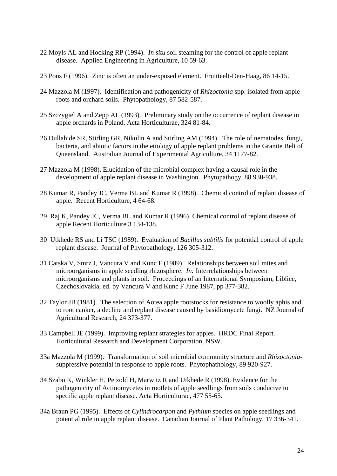- 22 Moyls AL and Hocking RP (1994). *In situ* soil steaming for the control of apple replant disease. Applied Engineering in Agriculture, 10 59-63.
- 23 Pons F (1996). Zinc is often an under-exposed element. Fruitteelt-Den-Haag, 86 14-15.
- 24 Mazzola M (1997). Identification and pathogenicity of *Rhizoctonia* spp. isolated from apple roots and orchard soils. Phytopathology, 87 582-587.
- 25 Szczygiel A and Zepp AL (1993). Preliminary study on the occurrence of replant disease in apple orchards in Poland. Acta Horticulturae, 324 81-84.
- 26 Dullahide SR, Stirling GR, Nikulin A and Stirling AM (1994). The role of nematodes, fungi, bacteria, and abiotic factors in the etiology of apple replant problems in the Granite Belt of Queensland. Australian Journal of Experimental Agriculture, 34 1177-82.
- 27 Mazzola M (1998). Elucidation of the microbial complex having a causal role in the development of apple replant disease in Washington. Phytopathogy, 88 930-938.
- 28 Kumar R, Pandey JC, Verma BL and Kumar R (1998). Chemical control of replant disease of apple. Recent Horticulture, 4 64-68.
- 29 Raj K, Pandey JC, Verma BL and Kumar R (1996). Chemical control of replant disease of apple Recent Horticulture 3 134-138.
- 30 Utkhede RS and Li TSC (1989). Evaluation of *Bacillus subtilis* for potential control of apple replant disease. Journal of Phytopathology, 126 305-312.
- 31 Catska V, Smrz J, Vancura V and Kunc F (1989). Relationships between soil mites and microorganisms in apple seedling rhizosphere. *In:* Interrelationships between microorganisms and plants in soil. Proceedings of an International Symposium, Liblice, Czechoslovakia, ed. by Vancura V and Kunc F June 1987, pp 377-382.
- 32 Taylor JB (1981). The selection of Aotea apple rootstocks for resistance to woolly aphis and to root canker, a decline and replant disease caused by basidiomycete fungi. NZ Journal of Agricultural Research, 24 373-377.
- 33 Campbell JE (1999). Improving replant strategies for apples. HRDC Final Report. Horticultural Research and Development Corporation, NSW.
- 33a Mazzola M (1999). Transformation of soil microbial community structure and *Rhizoctonia*suppressive potential in response to apple roots. Phytophathology, 89 920-927.
- 34 Szabo K, Winkler H, Petzold H, Marwitz R and Utkhede R (1998). Evidence for the pathogenicity of Actinomycetes in rootlets of apple seedlings from soils conducive to specific apple replant disease. Acta Horticulturae, 477 55-65.
- 34a Braun PG (1995). Effects of *Cylindrocarpon* and *Pythium* species on apple seedlings and potential role in apple replant disease. Canadian Journal of Plant Pathology, 17 336-341.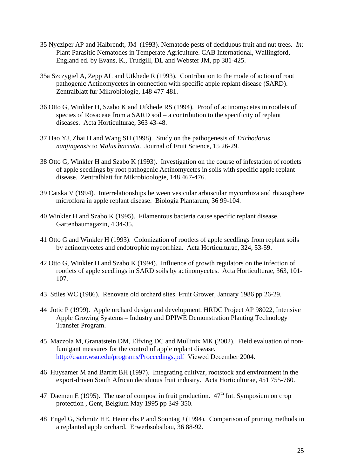- 35 Nycziper AP and Halbrendt, JM (1993). Nematode pests of deciduous fruit and nut trees. *In:* Plant Parasitic Nematodes in Temperate Agriculture. CAB International, Wallingford, England ed. by Evans, K., Trudgill, DL and Webster JM, pp 381-425.
- 35a Szczygiel A, Zepp AL and Utkhede R (1993). Contribution to the mode of action of root pathogenic Actinomycetes in connection with specific apple replant disease (SARD). Zentralblatt fur Mikrobiologie, 148 477-481.
- 36 Otto G, Winkler H, Szabo K and Utkhede RS (1994). Proof of actinomycetes in rootlets of species of Rosaceae from a SARD soil – a contribution to the specificity of replant diseases. Acta Horticulturae, 363 43-48.
- 37 Hao YJ, Zhai H and Wang SH (1998). Study on the pathogenesis of *Trichodorus nanjingensis* to *Malus baccata*. Journal of Fruit Science, 15 26-29.
- 38 Otto G, Winkler H and Szabo K (1993). Investigation on the course of infestation of rootlets of apple seedlings by root pathogenic Actinomycetes in soils with specific apple replant disease. Zentralblatt fur Mikrobioologie, 148 467-476.
- 39 Catska V (1994). Interrelationships between vesicular arbuscular mycorrhiza and rhizosphere microflora in apple replant disease. Biologia Plantarum, 36 99-104.
- 40 Winkler H and Szabo K (1995). Filamentous bacteria cause specific replant disease. Gartenbaumagazin, 4 34-35.
- 41 Otto G and Winkler H (1993). Colonization of rootlets of apple seedlings from replant soils by actinomycetes and endotrophic mycorrhiza. Acta Horticulturae, 324, 53-59.
- 42 Otto G, Winkler H and Szabo K (1994). Influence of growth regulators on the infection of rootlets of apple seedlings in SARD soils by actinomycetes. Acta Horticulturae, 363, 101- 107.
- 43 Stiles WC (1986). Renovate old orchard sites. Fruit Grower, January 1986 pp 26-29.
- 44 Jotic P (1999). Apple orchard design and development. HRDC Project AP 98022, Intensive Apple Growing Systems – Industry and DPIWE Demonstration Planting Technology Transfer Program.
- 45 Mazzola M, Granatstein DM, Elfving DC and Mullinix MK (2002). Field evaluation of nonfumigant measures for the control of apple replant disease. http://csanr.wsu.edu/programs/Proceedings.pdf Viewed December 2004.
- 46 Huysamer M and Barritt BH (1997). Integrating cultivar, rootstock and environment in the export-driven South African deciduous fruit industry. Acta Horticulturae, 451 755-760.
- 47 Daemen E (1995). The use of compost in fruit production.  $47<sup>th</sup>$  Int. Symposium on crop protection , Gent, Belgium May 1995 pp 349-350.
- 48 Engel G, Schmitz HE, Heinrichs P and Sonntag J (1994). Comparison of pruning methods in a replanted apple orchard. Erwerbsobstbau, 36 88-92.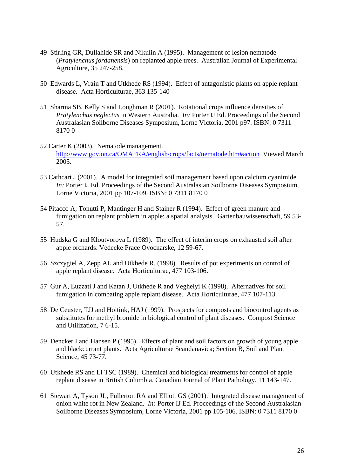- 49 Stirling GR, Dullahide SR and Nikulin A (1995). Management of lesion nematode (*Pratylenchus jordanensis*) on replanted apple trees. Australian Journal of Experimental Agriculture, 35 247-258.
- 50 Edwards L, Vrain T and Utkhede RS (1994). Effect of antagonistic plants on apple replant disease. Acta Horticulturae, 363 135-140
- 51 Sharma SB, Kelly S and Loughman R (2001). Rotational crops influence densities of *Pratylenchus neglectus* in Western Australia. *In:* Porter IJ Ed. Proceedings of the Second Australasian Soilborne Diseases Symposium, Lorne Victoria, 2001 p97. ISBN: 0 7311 8170 0
- 52 Carter K (2003). Nematode management. http://www.gov.on.ca/OMAFRA/english/crops/facts/nematode.htm#action Viewed March 2005.
- 53 Cathcart J (2001). A model for integrated soil management based upon calcium cyanimide. *In:* Porter IJ Ed. Proceedings of the Second Australasian Soilborne Diseases Symposium, Lorne Victoria, 2001 pp 107-109. ISBN: 0 7311 8170 0
- 54 Pitacco A, Tonutti P, Mantinger H and Stainer R (1994). Effect of green manure and fumigation on replant problem in apple: a spatial analysis. Gartenbauwissenschaft, 59 53- 57.
- 55 Hudska G and Kloutvorova L (1989). The effect of interim crops on exhausted soil after apple orchards. Vedecke Prace Ovocnarske, 12 59-67.
- 56 Szczygiel A, Zepp AL and Utkhede R. (1998). Results of pot experiments on control of apple replant disease. Acta Horticulturae, 477 103-106.
- 57 Gur A, Luzzati J and Katan J, Utkhede R and Veghelyi K (1998). Alternatives for soil fumigation in combating apple replant disease. Acta Horticulturae, 477 107-113.
- 58 De Ceuster, TJJ and Hoitink, HAJ (1999). Prospects for composts and biocontrol agents as substitutes for methyl bromide in biological control of plant diseases. Compost Science and Utilization, 7 6-15.
- 59 Dencker I and Hansen P (1995). Effects of plant and soil factors on growth of young apple and blackcurrant plants. Acta Agriculturae Scandanavica; Section B, Soil and Plant Science, 45 73-77.
- 60 Utkhede RS and Li TSC (1989). Chemical and biological treatments for control of apple replant disease in British Columbia. Canadian Journal of Plant Pathology, 11 143-147.
- 61 Stewart A, Tyson JL, Fullerton RA and Elliott GS (2001). Integrated disease management of onion white rot in New Zealand. *In:* Porter IJ Ed. Proceedings of the Second Australasian Soilborne Diseases Symposium, Lorne Victoria, 2001 pp 105-106. ISBN: 0 7311 8170 0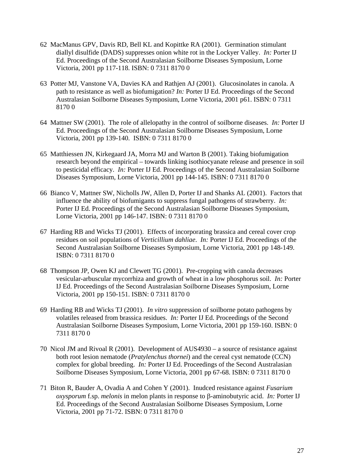- 62 MacManus GPV, Davis RD, Bell KL and Kopittke RA (2001). Germination stimulant diallyl disulfide (DADS) suppresses onion white rot in the Lockyer Valley. *In:* Porter IJ Ed. Proceedings of the Second Australasian Soilborne Diseases Symposium, Lorne Victoria, 2001 pp 117-118. ISBN: 0 7311 8170 0
- 63 Potter MJ, Vanstone VA, Davies KA and Rathjen AJ (2001). Glucosinolates in canola. A path to resistance as well as biofumigation? *In:* Porter IJ Ed. Proceedings of the Second Australasian Soilborne Diseases Symposium, Lorne Victoria, 2001 p61. ISBN: 0 7311 8170 0
- 64 Mattner SW (2001). The role of allelopathy in the control of soilborne diseases. *In:* Porter IJ Ed. Proceedings of the Second Australasian Soilborne Diseases Symposium, Lorne Victoria, 2001 pp 139-140. ISBN: 0 7311 8170 0
- 65 Matthiessen JN, Kirkegaard JA, Morra MJ and Warton B (2001). Taking biofumigation research beyond the empirical – towards linking isothiocyanate release and presence in soil to pesticidal efficacy. *In:* Porter IJ Ed. Proceedings of the Second Australasian Soilborne Diseases Symposium, Lorne Victoria, 2001 pp 144-145. ISBN: 0 7311 8170 0
- 66 Bianco V, Mattner SW, Nicholls JW, Allen D, Porter IJ and Shanks AL (2001). Factors that influence the ability of biofumigants to suppress fungal pathogens of strawberry. *In:* Porter IJ Ed. Proceedings of the Second Australasian Soilborne Diseases Symposium, Lorne Victoria, 2001 pp 146-147. ISBN: 0 7311 8170 0
- 67 Harding RB and Wicks TJ (2001). Effects of incorporating brassica and cereal cover crop residues on soil populations of *Verticillium dahliae*. *In:* Porter IJ Ed. Proceedings of the Second Australasian Soilborne Diseases Symposium, Lorne Victoria, 2001 pp 148-149. ISBN: 0 7311 8170 0
- 68 Thompson JP, Owen KJ and Clewett TG (2001). Pre-cropping with canola decreases vesicular-arbuscular mycorrhiza and growth of wheat in a low phosphorus soil. *In:* Porter IJ Ed. Proceedings of the Second Australasian Soilborne Diseases Symposium, Lorne Victoria, 2001 pp 150-151. ISBN: 0 7311 8170 0
- 69 Harding RB and Wicks TJ (2001). *In vitro* suppression of soilborne potato pathogens by volatiles released from brassica residues. *In:* Porter IJ Ed. Proceedings of the Second Australasian Soilborne Diseases Symposium, Lorne Victoria, 2001 pp 159-160. ISBN: 0 7311 8170 0
- 70 Nicol JM and Rivoal R (2001). Development of AUS4930 a source of resistance against both root lesion nematode (*Pratylenchus thornei*) and the cereal cyst nematode (CCN) complex for global breeding. *In:* Porter IJ Ed. Proceedings of the Second Australasian Soilborne Diseases Symposium, Lorne Victoria, 2001 pp 67-68. ISBN: 0 7311 8170 0
- 71 Biton R, Bauder A, Ovadia A and Cohen Y (2001). Inudced resistance against *Fusarium oxysporum* f.sp. *melonis* in melon plants in response to β-aminobutyric acid. *In:* Porter IJ Ed. Proceedings of the Second Australasian Soilborne Diseases Symposium, Lorne Victoria, 2001 pp 71-72. ISBN: 0 7311 8170 0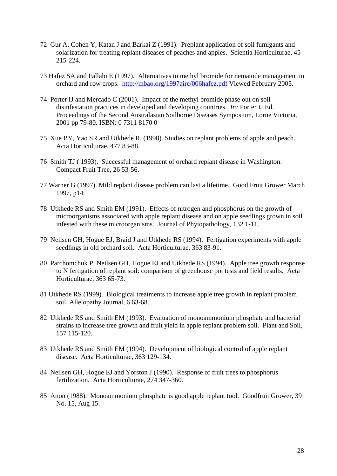- 72 Gur A, Cohen Y, Katan J and Barkai Z (1991). Preplant application of soil fumigants and solarization for treating replant diseases of peaches and apples. Scientia Horticulturae, 45 215-224.
- 73 Hafez SA and Fallahi E (1997). Alternatives to methyl bromide for nematode management in orchard and row crops. http://mbao.org/1997airc/006hafez.pdf Viewed February 2005.
- 74 Porter IJ and Mercado C (2001). Impact of the methyl bromide phase out on soil disinfestation practices in developed and developing countries. *In:* Porter IJ Ed. Proceedings of the Second Australasian Soilborne Diseases Symposium, Lorne Victoria, 2001 pp 79-80. ISBN: 0 7311 8170 0
- 75 Xue BY, Yao SR and Utkhede R. (1998). Studies on replant problems of apple and peach. Acta Horticulturae, 477 83-88.
- 76 Smith TJ ( 1993). Successful management of orchard replant disease in Washington. Compact Fruit Tree, 26 53-56.
- 77 Warner G (1997). Mild replant disease problem can last a lifetime. Good Fruit Grower March 1997, p14.
- 78 Utkhede RS and Smith EM (1991). Effects of nitrogen and phosphorus on the growth of microorganisms associated with apple replant disease and on apple seedlings grown in soil infested with these microorganisms. Journal of Phytopathology, 132 1-11.
- 79 Neilsen GH, Hogue EJ, Braid J and Utkhede RS (1994). Fertigation experiments with apple seedlings in old orchard soil. Acta Horticulturae, 363 83-91.
- 80 Parchomchuk P, Neilsen GH, Hogue EJ and Utkhede RS (1994). Apple tree growth response to N fertigation of replant soil: comparison of greenhouse pot tests and field results. Acta Horticulturae, 363 65-73.
- 81 Utkhede RS (1999). Biological treatments to increase apple tree growth in replant problem soil. Allelopathy Journal, 6 63-68.
- 82 Utkhede RS and Smith EM (1993). Evaluation of monoammonium phosphate and bacterial strains to increase tree growth and fruit yield in apple replant problem soil. Plant and Soil, 157 115-120.
- 83 Utkhede RS and Smith EM (1994). Development of biological control of apple replant disease. Acta Horticulturae, 363 129-134.
- 84 Neilsen GH, Hogue EJ and Yorston J (1990). Response of fruit trees to phosphorus fertilization. Acta Horticulturae, 274 347-360.
- 85 Anon (1988). Monoammonium phosphate is good apple replant tool. Goodfruit Grower, 39 No. 15, Aug 15.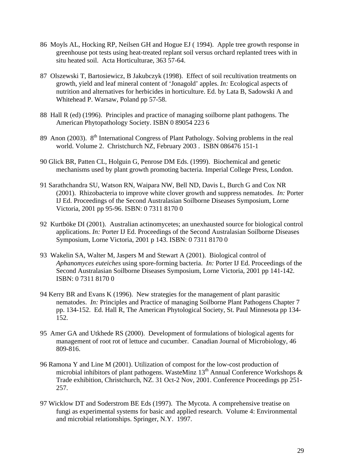- 86 Moyls AL, Hocking RP, Neilsen GH and Hogue EJ ( 1994). Apple tree growth response in greenhouse pot tests using heat-treated replant soil versus orchard replanted trees with in situ heated soil. Acta Horticulturae, 363 57-64.
- 87 Olszewski T, Bartosiewicz, B Jakubczyk (1998). Effect of soil recultivation treatments on growth, yield and leaf mineral content of 'Jonagold' apples. *In:* Ecological aspects of nutrition and alternatives for herbicides in horticulture. Ed. by Lata B, Sadowski A and Whitehead P. Warsaw, Poland pp 57-58.
- 88 Hall R (ed) (1996). Principles and practice of managing soilborne plant pathogens. The American Phytopathology Society. ISBN 0 89054 223 6
- 89 Anon (2003). 8<sup>th</sup> International Congress of Plant Pathology. Solving problems in the real world. Volume 2. Christchurch NZ, February 2003 . ISBN 086476 151-1
- 90 Glick BR, Patten CL, Holguin G, Penrose DM Eds. (1999). Biochemical and genetic mechanisms used by plant growth promoting bacteria. Imperial College Press, London.
- 91 Sarathchandra SU, Watson RN, Waipara NW, Bell ND, Davis L, Burch G and Cox NR (2001). Rhizobacteria to improve white clover growth and suppress nematodes. *In:* Porter IJ Ed. Proceedings of the Second Australasian Soilborne Diseases Symposium, Lorne Victoria, 2001 pp 95-96. ISBN: 0 7311 8170 0
- 92 Kurtböke DI (2001). Australian actinomycetes; an unexhausted source for biological control applications. *In:* Porter IJ Ed. Proceedings of the Second Australasian Soilborne Diseases Symposium, Lorne Victoria, 2001 p 143. ISBN: 0 7311 8170 0
- 93 Wakelin SA, Walter M, Jaspers M and Stewart A (2001). Biological control of *Aphanomyces euteiches* using spore-forming bacteria. *In:* Porter IJ Ed. Proceedings of the Second Australasian Soilborne Diseases Symposium, Lorne Victoria, 2001 pp 141-142. ISBN: 0 7311 8170 0
- 94 Kerry BR and Evans K (1996). New strategies for the management of plant parasitic nematodes. *In:* Principles and Practice of managing Soilborne Plant Pathogens Chapter 7 pp. 134-152. Ed. Hall R, The American Phytological Society, St. Paul Minnesota pp 134- 152.
- 95 Amer GA and Utkhede RS (2000). Development of formulations of biological agents for management of root rot of lettuce and cucumber. Canadian Journal of Microbiology, 46 809-816.
- 96 Ramona Y and Line M (2001). Utilization of compost for the low-cost production of microbial inhibitors of plant pathogens. WasteMinz  $13<sup>th</sup>$  Annual Conference Workshops  $\&$ Trade exhibition, Christchurch, NZ. 31 Oct-2 Nov, 2001. Conference Proceedings pp 251- 257.
- 97 Wicklow DT and Soderstrom BE Eds (1997). The Mycota. A comprehensive treatise on fungi as experimental systems for basic and applied research. Volume 4: Environmental and microbial relationships. Springer, N.Y. 1997.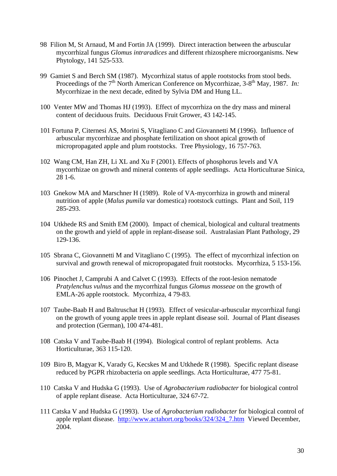- 98 Filion M, St Arnaud, M and Fortin JA (1999). Direct interaction between the arbuscular mycorrhizal fungus *Glomus intraradices* and different rhizosphere microorganisms. New Phytology, 141 525-533.
- 99 Gamiet S and Berch SM (1987). Mycorrhizal status of apple rootstocks from stool beds. Proceedings of the 7<sup>th</sup> North American Conference on Mycorrhizae, 3-8<sup>th</sup> May, 1987. *In:* Mycorrhizae in the next decade, edited by Sylvia DM and Hung LL.
- 100 Venter MW and Thomas HJ (1993). Effect of mycorrhiza on the dry mass and mineral content of deciduous fruits. Deciduous Fruit Grower, 43 142-145.
- 101 Fortuna P, Citernesi AS, Morini S, Vitagliano C and Giovannetti M (1996). Influence of arbuscular mycorrhizae and phosphate fertilization on shoot apical growth of micropropagated apple and plum rootstocks. Tree Physiology, 16 757-763.
- 102 Wang CM, Han ZH, Li XL and Xu F (2001). Effects of phosphorus levels and VA mycorrhizae on growth and mineral contents of apple seedlings. Acta Horticulturae Sinica, 28 1-6.
- 103 Gnekow MA and Marschner H (1989). Role of VA-mycorrhiza in growth and mineral nutrition of apple (*Malus pumila* var domestica) rootstock cuttings. Plant and Soil, 119 285-293.
- 104 Utkhede RS and Smith EM (2000). Impact of chemical, biological and cultural treatments on the growth and yield of apple in replant-disease soil. Australasian Plant Pathology, 29 129-136.
- 105 Sbrana C, Giovannetti M and Vitagliano C (1995). The effect of mycorrhizal infection on survival and growth renewal of micropropagated fruit rootstocks. Mycorrhiza, 5 153-156.
- 106 Pinochet J, Camprubi A and Calvet C (1993). Effects of the root-lesion nematode *Pratylenchus vulnus* and the mycorrhizal fungus *Glomus mosseae* on the growth of EMLA-26 apple rootstock. Mycorrhiza, 4 79-83.
- 107 Taube-Baab H and Baltruschat H (1993). Effect of vesicular-arbuscular mycorrhizal fungi on the growth of young apple trees in apple replant disease soil. Journal of Plant diseases and protection (German), 100 474-481.
- 108 Catska V and Taube-Baab H (1994). Biological control of replant problems. Acta Horticulturae, 363 115-120.
- 109 Biro B, Magyar K, Varady G, Kecskes M and Utkhede R (1998). Specific replant disease reduced by PGPR rhizobacteria on apple seedlings. Acta Horticulturae, 477 75-81.
- 110 Catska V and Hudska G (1993). Use of *Agrobacterium radiobacter* for biological control of apple replant disease. Acta Horticulturae, 324 67-72.
- 111 Catska V and Hudska G (1993). Use of *Agrobacterium radiobacter* for biological control of apple replant disease. http://www.actahort.org/books/324/324\_7.htm Viewed December, 2004.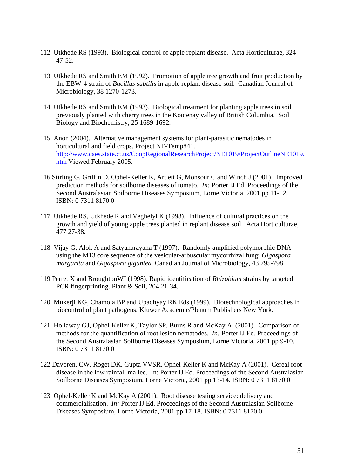- 112 Utkhede RS (1993). Biological control of apple replant disease. Acta Horticulturae, 324 47-52.
- 113 Utkhede RS and Smith EM (1992). Promotion of apple tree growth and fruit production by the EBW-4 strain of *Bacillus subtilis* in apple replant disease soil. Canadian Journal of Microbiology, 38 1270-1273.
- 114 Utkhede RS and Smith EM (1993). Biological treatment for planting apple trees in soil previously planted with cherry trees in the Kootenay valley of British Columbia. Soil Biology and Biochemistry, 25 1689-1692.
- 115 Anon (2004). Alternative management systems for plant-parasitic nematodes in horticultural and field crops. Project NE-Temp841. http://www.caes.state.ct.us/CoopRegionalResearchProject/NE1019/ProjectOutlineNE1019. htm Viewed February 2005.
- 116 Stirling G, Griffin D, Ophel-Keller K, Artlett G, Monsour C and Winch J (2001). Improved prediction methods for soilborne diseases of tomato. *In:* Porter IJ Ed. Proceedings of the Second Australasian Soilborne Diseases Symposium, Lorne Victoria, 2001 pp 11-12. ISBN: 0 7311 8170 0
- 117 Utkhede RS, Utkhede R and Veghelyi K (1998). Influence of cultural practices on the growth and yield of young apple trees planted in replant disease soil. Acta Horticulturae, 477 27-38.
- 118 Vijay G, Alok A and Satyanarayana T (1997). Randomly amplified polymorphic DNA using the M13 core sequence of the vesicular-arbuscular mycorrhizal fungi *Gigaspora margarita* and *Gigaspora gigantea*. Canadian Journal of Microbiology, 43 795-798.
- 119 Perret X and BroughtonWJ (1998). Rapid identification of *Rhizobium* strains by targeted PCR fingerprinting. Plant & Soil, 204 21-34.
- 120 Mukerji KG, Chamola BP and Upadhyay RK Eds (1999). Biotechnological approaches in biocontrol of plant pathogens. Kluwer Academic/Plenum Publishers New York.
- 121 Hollaway GJ, Ophel-Keller K, Taylor SP, Burns R and McKay A. (2001). Comparison of methods for the quantification of root lesion nematodes. *In:* Porter IJ Ed. Proceedings of the Second Australasian Soilborne Diseases Symposium, Lorne Victoria, 2001 pp 9-10. ISBN: 0 7311 8170 0
- 122 Davoren, CW, Roget DK, Gupta VVSR, Ophel-Keller K and McKay A (2001). Cereal root disease in the low rainfall mallee. In: Porter IJ Ed. Proceedings of the Second Australasian Soilborne Diseases Symposium, Lorne Victoria, 2001 pp 13-14. ISBN: 0 7311 8170 0
- 123 Ophel-Keller K and McKay A (2001). Root disease testing service: delivery and commercialisation. *In:* Porter IJ Ed. Proceedings of the Second Australasian Soilborne Diseases Symposium, Lorne Victoria, 2001 pp 17-18. ISBN: 0 7311 8170 0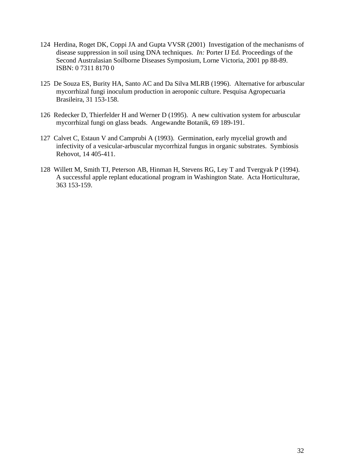- 124 Herdina, Roget DK, Coppi JA and Gupta VVSR (2001) Investigation of the mechanisms of disease suppression in soil using DNA techniques. *In:* Porter IJ Ed. Proceedings of the Second Australasian Soilborne Diseases Symposium, Lorne Victoria, 2001 pp 88-89. ISBN: 0 7311 8170 0
- 125 De Souza ES, Burity HA, Santo AC and Da Silva MLRB (1996). Alternative for arbuscular mycorrhizal fungi inoculum production in aeroponic culture. Pesquisa Agropecuaria Brasileira, 31 153-158.
- 126 Redecker D, Thierfelder H and Werner D (1995). A new cultivation system for arbuscular mycorrhizal fungi on glass beads. Angewandte Botanik, 69 189-191.
- 127 Calvet C, Estaun V and Camprubi A (1993). Germination, early mycelial growth and infectivity of a vesicular-arbuscular mycorrhizal fungus in organic substrates. Symbiosis Rehovot, 14 405-411.
- 128 Willett M, Smith TJ, Peterson AB, Hinman H, Stevens RG, Ley T and Tvergyak P (1994). A successful apple replant educational program in Washington State. Acta Horticulturae, 363 153-159.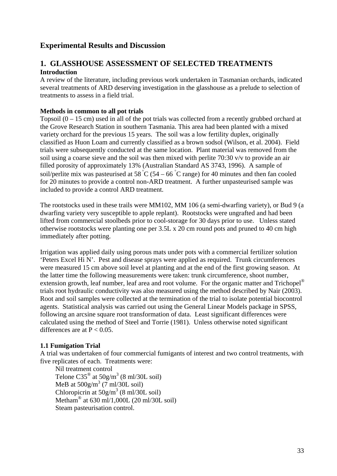# **Experimental Results and Discussion**

# **1. GLASSHOUSE ASSESSMENT OF SELECTED TREATMENTS Introduction**

A review of the literature, including previous work undertaken in Tasmanian orchards, indicated several treatments of ARD deserving investigation in the glasshouse as a prelude to selection of treatments to assess in a field trial.

## **Methods in common to all pot trials**

Topsoil  $(0 - 15 \text{ cm})$  used in all of the pot trials was collected from a recently grubbed orchard at the Grove Research Station in southern Tasmania. This area had been planted with a mixed variety orchard for the previous 15 years. The soil was a low fertility duplex, originally classified as Huon Loam and currently classified as a brown sodsol (Wilson, et al. 2004). Field trials were subsequently conducted at the same location. Plant material was removed from the soil using a coarse sieve and the soil was then mixed with perlite 70:30 v/v to provide an air filled porosity of approximately 13% (Australian Standard AS 3743, 1996). A sample of soil/perlite mix was pasteurised at 58  $^{\circ}$ C (54 – 66  $^{\circ}$ C range) for 40 minutes and then fan cooled for 20 minutes to provide a control non-ARD treatment. A further unpasteurised sample was included to provide a control ARD treatment.

The rootstocks used in these trails were MM102, MM 106 (a semi-dwarfing variety), or Bud 9 (a dwarfing variety very susceptible to apple replant). Rootstocks were ungrafted and had been lifted from commercial stoolbeds prior to cool-storage for 30 days prior to use. Unless stated otherwise rootstocks were planting one per 3.5L x 20 cm round pots and pruned to 40 cm high immediately after potting.

Irrigation was applied daily using porous mats under pots with a commercial fertilizer solution 'Peters Excel Hi N'. Pest and disease sprays were applied as required. Trunk circumferences were measured 15 cm above soil level at planting and at the end of the first growing season. At the latter time the following measurements were taken: trunk circumference, shoot number, extension growth, leaf number, leaf area and root volume. For the organic matter and Trichopel<sup>®</sup> trials root hydraulic conductivity was also measured using the method described by Nair (2003). Root and soil samples were collected at the termination of the trial to isolate potential biocontrol agents. Statistical analysis was carried out using the General Linear Models package in SPSS, following an arcsine square root transformation of data. Least significant differences were calculated using the method of Steel and Torrie (1981). Unless otherwise noted significant differences are at  $P < 0.05$ .

#### **1.1 Fumigation Trial**

A trial was undertaken of four commercial fumigants of interest and two control treatments, with five replicates of each. Treatments were:

Nil treatment control Telone  $C35^{\circ}$  at  $50g/m^3$  (8 ml/30L soil) MeB at  $500g/m^3$  (7 ml/30L soil) Chloropicrin at  $50g/m<sup>3</sup>$  (8 ml/30L soil) Metham<sup>®</sup> at 630 ml/1,000L (20 ml/30L soil) Steam pasteurisation control.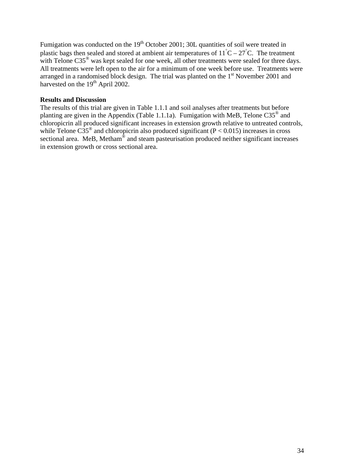Fumigation was conducted on the 19<sup>th</sup> October 2001; 30L quantities of soil were treated in plastic bags then sealed and stored at ambient air temperatures of  $11^{\circ}C - 27^{\circ}C$ . The treatment with Telone  $C35^{\circ}$  was kept sealed for one week, all other treatments were sealed for three days. All treatments were left open to the air for a minimum of one week before use. Treatments were arranged in a randomised block design. The trial was planted on the  $1<sup>st</sup>$  November 2001 and harvested on the  $19<sup>th</sup>$  April 2002.

#### **Results and Discussion**

The results of this trial are given in Table 1.1.1 and soil analyses after treatments but before planting are given in the Appendix (Table 1.1.1a). Fumigation with MeB, Telone C35® and chloropicrin all produced significant increases in extension growth relative to untreated controls, while Telone  $C35^{\circ}$  and chloropicrin also produced significant (P < 0.015) increases in cross sectional area. MeB, Metham® and steam pasteurisation produced neither significant increases in extension growth or cross sectional area.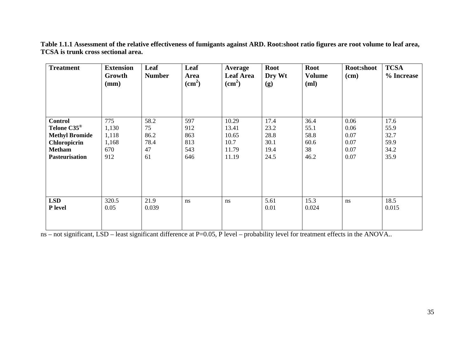| <b>Treatment</b>                                                                                                             | <b>Extension</b><br>Growth<br>(mm)           | Leaf<br><b>Number</b>                  | Leaf<br>Area<br>$\text{cm}^2$          | Average<br><b>Leaf Area</b><br>$\text{cm}^2$      | Root<br>Dry Wt<br>(g)                        | <b>Root</b><br><b>Volume</b><br>(ml)       | Root:shoot<br>$(cm)$                         | <b>TCSA</b><br>% Increase                    |
|------------------------------------------------------------------------------------------------------------------------------|----------------------------------------------|----------------------------------------|----------------------------------------|---------------------------------------------------|----------------------------------------------|--------------------------------------------|----------------------------------------------|----------------------------------------------|
| <b>Control</b><br>Telone C35 <sup>®</sup><br><b>Methyl Bromide</b><br>Chloropicrin<br><b>Metham</b><br><b>Pasteurisation</b> | 775<br>1,130<br>1,118<br>1,168<br>670<br>912 | 58.2<br>75<br>86.2<br>78.4<br>47<br>61 | 597<br>912<br>863<br>813<br>543<br>646 | 10.29<br>13.41<br>10.65<br>10.7<br>11.79<br>11.19 | 17.4<br>23.2<br>28.8<br>30.1<br>19.4<br>24.5 | 36.4<br>55.1<br>58.8<br>60.6<br>38<br>46.2 | 0.06<br>0.06<br>0.07<br>0.07<br>0.07<br>0.07 | 17.6<br>55.9<br>32.7<br>59.9<br>34.2<br>35.9 |
| <b>LSD</b><br>P level                                                                                                        | 320.5<br>0.05                                | 21.9<br>0.039                          | ns                                     | ns                                                | 5.61<br>0.01                                 | 15.3<br>0.024                              | ns                                           | 18.5<br>0.015                                |

**Table 1.1.1 Assessment of the relative effectiveness of fumigants against ARD. Root:shoot ratio figures are root volume to leaf area, TCSA is trunk cross sectional area.** 

ns – not significant, LSD – least significant difference at P=0.05, P level – probability level for treatment effects in the ANOVA..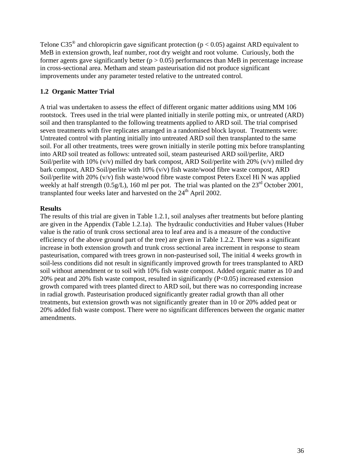Telone C35<sup>®</sup> and chloropicrin gave significant protection ( $p < 0.05$ ) against ARD equivalent to MeB in extension growth, leaf number, root dry weight and root volume. Curiously, both the former agents gave significantly better ( $p > 0.05$ ) performances than MeB in percentage increase in cross-sectional area. Metham and steam pasteurisation did not produce significant improvements under any parameter tested relative to the untreated control.

## **1.2 Organic Matter Trial**

A trial was undertaken to assess the effect of different organic matter additions using MM 106 rootstock. Trees used in the trial were planted initially in sterile potting mix, or untreated (ARD) soil and then transplanted to the following treatments applied to ARD soil. The trial comprised seven treatments with five replicates arranged in a randomised block layout. Treatments were: Untreated control with planting initially into untreated ARD soil then transplanted to the same soil. For all other treatments, trees were grown initially in sterile potting mix before transplanting into ARD soil treated as follows: untreated soil, steam pasteurised ARD soil/perlite, ARD Soil/perlite with 10%  $(v/v)$  milled dry bark compost, ARD Soil/perlite with 20%  $(v/v)$  milled dry bark compost, ARD Soil/perlite with 10% (v/v) fish waste/wood fibre waste compost, ARD Soil/perlite with 20% (v/v) fish waste/wood fibre waste compost Peters Excel Hi N was applied weekly at half strength (0.5g/L), 160 ml per pot. The trial was planted on the 23<sup>rd</sup> October 2001, transplanted four weeks later and harvested on the 24<sup>th</sup> April 2002.

#### **Results**

The results of this trial are given in Table 1.2.1, soil analyses after treatments but before planting are given in the Appendix (Table 1.2.1a). The hydraulic conductivities and Huber values (Huber value is the ratio of trunk cross sectional area to leaf area and is a measure of the conductive efficiency of the above ground part of the tree) are given in Table 1.2.2. There was a significant increase in both extension growth and trunk cross sectional area increment in response to steam pasteurisation, compared with trees grown in non-pasteurised soil, The initial 4 weeks growth in soil-less conditions did not result in significantly improved growth for trees transplanted to ARD soil without amendment or to soil with 10% fish waste compost. Added organic matter as 10 and 20% peat and 20% fish waste compost, resulted in significantly (P<0.05) increased extension growth compared with trees planted direct to ARD soil, but there was no corresponding increase in radial growth. Pasteurisation produced significantly greater radial growth than all other treatments, but extension growth was not significantly greater than in 10 or 20% added peat or 20% added fish waste compost. There were no significant differences between the organic matter amendments.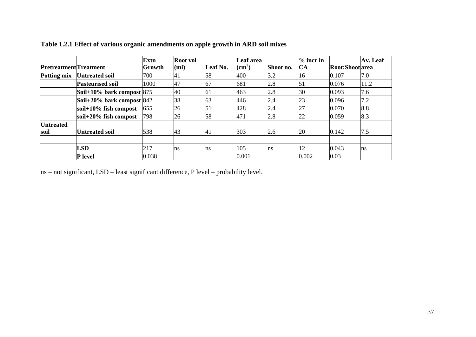|                               |                               | <b>Extn</b> | <b>Root</b> vol |          | Leaf area       |           | $%$ incr in |                 | Av. Leaf |
|-------------------------------|-------------------------------|-------------|-----------------|----------|-----------------|-----------|-------------|-----------------|----------|
| <b>Pretreatment</b> Treatment |                               | Growth      | (ml)            | Leaf No. | $\text{cm}^2$ ) | Shoot no. | CA          | Root:Shoot area |          |
| Potting mix                   | Untreated soil                | 700         | 41              | 58       | 400             | 3.2       | 16          | 0.107           | 7.0      |
|                               | <b>Pasteurised soil</b>       | 1000        | <b>47</b>       | 67       | 681             | 2.8       | 51          | 0.076           | 11.2     |
|                               | Soil+10% bark compost $ 875 $ |             | 40              | 61       | 463             | 2.8       | 30          | 0.093           | 7.6      |
|                               | Soil+20% bark compost $ 842 $ |             | 38              | 63       | 446             | 2.4       | 23          | 0.096           | 7.2      |
|                               | soil+ $10\%$ fish compost     | 655         | 26              | 51       | 428             | 2.4       | 27          | 0.070           | 8.8      |
|                               | soil $+20\%$ fish compost     | 798         | 26              | 58       | 471             | 2.8       | 22          | 0.059           | 8.3      |
| <b>Untreated</b>              |                               |             |                 |          |                 |           |             |                 |          |
| soil                          | <b>Untreated soil</b>         | 538         | 43              | 41       | 303             | 2.6       | 20          | 0.142           | 7.5      |
|                               |                               |             |                 |          |                 |           |             |                 |          |
|                               | <b>LSD</b>                    | 217         | <sub>ns</sub>   | ns       | 105             | ns        | 12          | 0.043           | Ins      |
|                               | <b>P</b> level                | 0.038       |                 |          | 0.001           |           | 0.002       | 0.03            |          |

**Table 1.2.1 Effect of various organic amendments on apple growth in ARD soil mixes** 

ns – not significant, LSD – least significant difference, P level – probability level.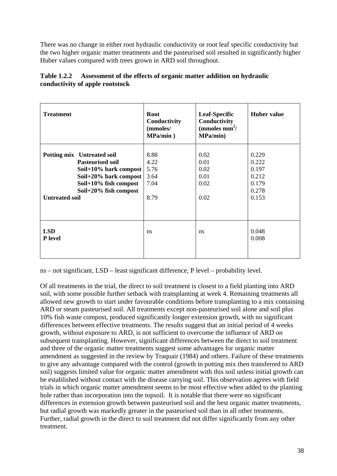There was no change in either root hydraulic conductivity or root leaf specific conductivity but the two higher organic matter treatments and the pasteurised soil resulted in significantly higher Huber values compared with trees grown in ARD soil throughout.

| <b>Treatment</b>                                                                                                                                                                   | <b>Root</b><br>Conductivity<br>(mmoles/<br>MPa/min) | <b>Leaf-Specific</b><br>Conductivity<br>(mmoles $mm^2/$<br>MPa/min) | <b>Huber value</b>                                          |
|------------------------------------------------------------------------------------------------------------------------------------------------------------------------------------|-----------------------------------------------------|---------------------------------------------------------------------|-------------------------------------------------------------|
| Potting mix Untreated soil<br><b>Pasteurised soil</b><br>Soil+10% bark compost<br>Soil+20% bark compost<br>Soil+10% fish compost<br>Soil+20% fish compost<br><b>Untreated soil</b> | 8.88<br>4.22<br>5.76<br>3.64<br>7.04<br>8.79        | 0.02<br>0.01<br>0.02<br>0.01<br>0.02<br>0.02                        | 0.229<br>0.222<br>0.197<br>0.212<br>0.179<br>0.278<br>0.153 |
| <b>LSD</b><br>P level                                                                                                                                                              | ns                                                  | ns                                                                  | 0.048<br>0.008                                              |

## **Table 1.2.2 Assessment of the effects of organic matter addition on hydraulic conductivity of apple rootstock**

ns – not significant, LSD – least significant difference, P level – probability level.

Of all treatments in the trial, the direct to soil treatment is closest to a field planting into ARD soil, with some possible further setback with transplanting at week 4. Remaining treatments all allowed new growth to start under favourable conditions before transplanting to a mix containing ARD or steam pasteurised soil. All treatments except non-pasteurised soil alone and soil plus 10% fish waste compost, produced significantly longer extension growth, with no significant differences between effective treatments. The results suggest that an initial period of 4 weeks growth, without exposure to ARD, is not sufficient to overcome the influence of ARD on subsequent transplanting. However, significant differences between the direct to soil treatment and three of the organic matter treatments suggest some advantages for organic matter amendment as suggested in the review by Traquair (1984) and others. Failure of these treatments to give any advantage compared with the control (growth in potting mix then transferred to ARD soil) suggests limited value for organic matter amendment with this soil unless initial growth can be established without contact with the disease carrying soil. This observation agrees with field trials in which organic matter amendment seems to be most effective when added to the planting hole rather than incorporation into the topsoil. It is notable that there were no significant differences in extension growth between pasteurised soil and the best organic matter treatments, but radial growth was markedly greater in the pasteurised soil than in all other treatments. Further, radial growth in the direct to soil treatment did not differ significantly from any other treatment.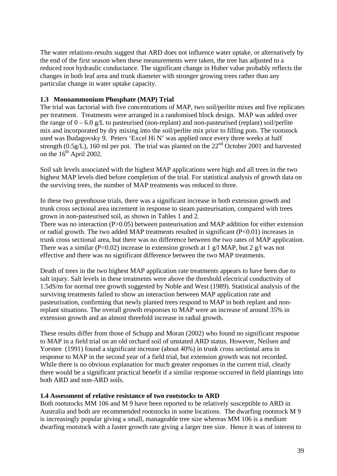The water relations-results suggest that ARD does not influence water uptake, or alternatively by the end of the first season when these measurements were taken, the tree has adjusted to a reduced root hydraulic conductance. The significant change in Huber value probably reflects the changes in both leaf area and trunk diameter with stronger growing trees rather than any particular change in water uptake capacity.

## **1.3 Monoammonium Phosphate (MAP) Trial**

The trial was factorial with five concentrations of MAP, two soil/perlite mixes and five replicates per treatment. Treatments were arranged in a randomised block design. MAP was added over the range of  $0 - 6.0$  g/L to pasteurised (non-replant) and non-pasteurised (replant) soil/perlite mix and incorporated by dry mixing into the soil/perlite mix prior to filling pots. The rootstock used was Budagovsky 9. Peters 'Excel Hi N' was applied once every three weeks at half strength (0.5g/L), 160 ml per pot. The trial was planted on the  $22<sup>nd</sup>$  October 2001 and harvested on the  $16<sup>th</sup>$  April 2002.

Soil salt levels associated with the highest MAP applications were high and all trees in the two highest MAP levels died before completion of the trial. For statistical analysis of growth data on the surviving trees, the number of MAP treatments was reduced to three.

In these two greenhouse trials, there was a significant increase in both extension growth and trunk cross sectional area increment in response to steam pasteurisation, compared with trees grown in non-pasteurised soil, as shown in Tables 1 and 2.

There was no interaction (P>0.05) between pasteurisation and MAP addition for either extension or radial growth. The two added MAP treatments resulted in significant (P<0.01) increases in trunk cross sectional area, but there was no difference between the two rates of MAP application. There was a similar (P=0.02) increase in extension growth at 1 g/l MAP, but 2 g/l was not effective and there was no significant difference between the two MAP treatments.

Death of trees in the two highest MAP application rate treatments appears to have been due to salt injury. Salt levels in these treatments were above the threshold electrical conductivity of 1.5dS/m for normal tree growth suggested by Noble and West (1989). Statistical analysis of the surviving treatments failed to show an interaction between MAP application rate and pasteurisation, confirming that newly planted trees respond to MAP in both replant and nonreplant situations. The overall growth responses to MAP were an increase of around 35% in extension growth and an almost threefold increase in radial growth.

These results differ from those of Schupp and Moran (2002) who found no significant response to MAP in a field trial on an old orchard soil of unstated ARD status. However, Neilsen and Yorsten (1991) found a significant increase (about 40%) in trunk cross sectional area in response to MAP in the second year of a field trial, but extension growth was not recorded. While there is no obvious explanation for much greater responses in the current trial, clearly there would be a significant practical benefit if a similar response occurred in field plantings into both ARD and non-ARD soils.

#### **1.4 Assessment of relative resistance of two rootstocks to ARD**

Both rootstocks MM 106 and M 9 have been reported to be relatively susceptible to ARD in Australia and both are recommended rootstocks in some locations. The dwarfing rootstock M 9 is increasingly popular giving a small, manageable tree size whereas MM 106 is a medium dwarfing rootstock with a faster growth rate giving a larger tree size. Hence it was of interest to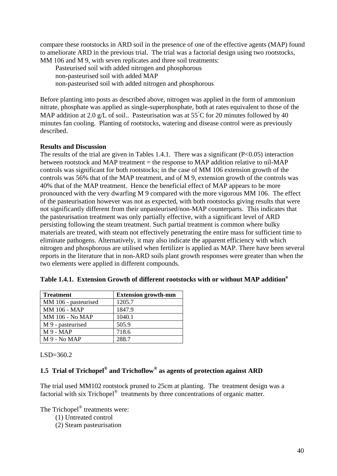compare these rootstocks in ARD soil in the presence of one of the effective agents (MAP) found to ameliorate ARD in the previous trial. The trial was a factorial design using two rootstocks, MM 106 and M 9, with seven replicates and three soil treatments:

Pasteurised soil with added nitrogen and phosphorous non-pasteurised soil with added MAP non-pasteurised soil with added nitrogen and phosphorous

Before planting into posts as described above, nitrogen was applied in the form of ammonium nitrate, phosphate was applied as single-superphosphate, both at rates equivalent to those of the MAP addition at 2.0 g/L of soil.. Pasteurisation was at  $55^{\circ}$ C for 20 minutes followed by 40 minutes fan cooling. Planting of rootstocks, watering and disease control were as previously described.

## **Results and Discussion**

The results of the trial are given in Tables 1.4.1. There was a significant  $(P<0.05)$  interaction between rootstock and MAP treatment = the response to MAP addition relative to nil-MAP controls was significant for both rootstocks; in the case of MM 106 extension growth of the controls was 56% that of the MAP treatment, and of M 9, extension growth of the controls was 40% that of the MAP treatment. Hence the beneficial effect of MAP appears to be more pronounced with the very dwarfing M 9 compared with the more vigorous MM 106. The effect of the pasteurisation however was not as expected, with both rootstocks giving results that were not significantly different from their unpasteurised/non-MAP counterparts. This indicates that the pasteurisation treatment was only partially effective, with a significant level of ARD persisting following the steam treatment. Such partial treatment is common where bulky materials are treated, with steam not effectively penetrating the entire mass for sufficient time to eliminate pathogens. Alternatively, it may also indicate the apparent efficiency with which nitrogen and phosphorous are utilised when fertilizer is applied as MAP. There have been several reports in the literature that in non-ARD soils plant growth responses were greater than when the two elements were applied in different compounds.

| <b>Treatment</b>       | <b>Extension growth-mm</b> |
|------------------------|----------------------------|
| MM 106 - pasteurised   | 1205.7                     |
| <b>MM 106 - MAP</b>    | 1847.9                     |
| <b>MM 106 - No MAP</b> | 1040.1                     |
| M 9 - pasteurised      | 505.9                      |
| M9 - MAP               | 718.6                      |
| M 9 - No MAP           | 288.7                      |

# Table 1.4.1. Extension Growth of different rootstocks with or without MAP addition<sup>a</sup>

LSD=360.2

# **1.5 Trial of Trichopel® and Trichoflow® as agents of protection against ARD**

The trial used MM102 rootstock pruned to 25cm at planting. The treatment design was a factorial with six Trichopel<sup>®</sup> treatments by three concentrations of organic matter.

The Trichopel<sup>®</sup> treatments were:

- (1) Untreated control
- (2) Steam pasteurisation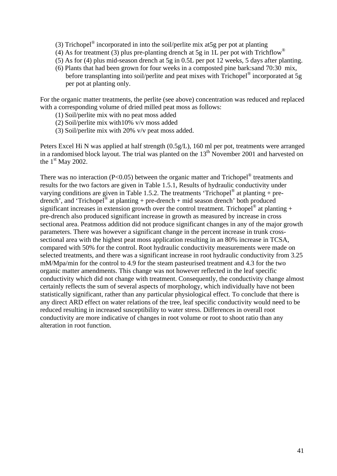- (3) Trichopel<sup>®</sup> incorporated in into the soil/perlite mix at 5g per pot at planting
- (4) As for treatment (3) plus pre-planting drench at 5g in 1L per pot with Trichflow<sup>®</sup>
- (5) As for (4) plus mid-season drench at 5g in 0.5L per pot 12 weeks, 5 days after planting.
- (6) Plants that had been grown for four weeks in a composted pine bark:sand 70:30 mix, before transplanting into soil/perlite and peat mixes with Trichopel<sup>®</sup> incorporated at 5g per pot at planting only.

For the organic matter treatments, the perlite (see above) concentration was reduced and replaced with a corresponding volume of dried milled peat moss as follows:

- (1) Soil/perlite mix with no peat moss added
- (2) Soil/perlite mix with10% v/v moss added
- (3) Soil/perlite mix with 20% v/v peat moss added.

Peters Excel Hi N was applied at half strength (0.5g/L), 160 ml per pot, treatments were arranged in a randomised block layout. The trial was planted on the  $13<sup>th</sup>$  November 2001 and harvested on the  $1<sup>st</sup>$  May 2002.

There was no interaction (P<0.05) between the organic matter and Trichopel<sup>®</sup> treatments and results for the two factors are given in Table 1.5.1, Results of hydraulic conductivity under varying conditions are given in Table 1.5.2. The treatments 'Trichopel<sup>®</sup> at planting + predrench', and 'Trichopel<sup>®</sup> at planting + pre-drench + mid season drench' both produced significant increases in extension growth over the control treatment. Trichopel<sup>®</sup> at planting + pre-drench also produced significant increase in growth as measured by increase in cross sectional area. Peatmoss addition did not produce significant changes in any of the major growth parameters. There was however a significant change in the percent increase in trunk crosssectional area with the highest peat moss application resulting in an 80% increase in TCSA, compared with 50% for the control. Root hydraulic conductivity measurements were made on selected treatments, and there was a significant increase in root hydraulic conductivity from 3.25 mM/Mpa/min for the control to 4.9 for the steam pasteurised treatment and 4.3 for the two organic matter amendments. This change was not however reflected in the leaf specific conductivity which did not change with treatment. Consequently, the conductivity change almost certainly reflects the sum of several aspects of morphology, which individually have not been statistically significant, rather than any particular physiological effect. To conclude that there is any direct ARD effect on water relations of the tree, leaf specific conductivity would need to be reduced resulting in increased susceptibility to water stress. Differences in overall root conductivity are more indicative of changes in root volume or root to shoot ratio than any alteration in root function.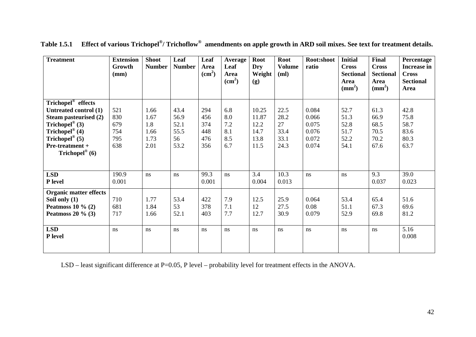| <b>Treatment</b>                               | <b>Extension</b><br>Growth<br>(mm) | <b>Shoot</b><br><b>Number</b> | Leaf<br><b>Number</b> | Leaf<br>Area<br>(cm <sup>2</sup> ) | Average<br>Leaf<br>Area<br>$\text{cm}^2$ | Root<br>Dry<br>Weight<br>(g) | <b>Root</b><br><b>Volume</b><br>(ml) | Root:shoot<br>ratio | <b>Initial</b><br><b>Cross</b><br><b>Sectional</b><br>Area<br>$\text{mm}^2$ ) | Final<br><b>Cross</b><br><b>Sectional</b><br>Area<br>$\text{m}^2$ | Percentage<br><b>Increase in</b><br><b>Cross</b><br><b>Sectional</b><br>Area |
|------------------------------------------------|------------------------------------|-------------------------------|-----------------------|------------------------------------|------------------------------------------|------------------------------|--------------------------------------|---------------------|-------------------------------------------------------------------------------|-------------------------------------------------------------------|------------------------------------------------------------------------------|
| Trichopel <sup>®</sup> effects                 |                                    |                               |                       |                                    |                                          |                              |                                      |                     |                                                                               |                                                                   |                                                                              |
| Untreated control (1)                          | 521                                | 1.66                          | 43.4                  | 294                                | 6.8                                      | 10.25                        | 22.5                                 | 0.084               | 52.7                                                                          | 61.3                                                              | 42.8                                                                         |
| Steam pasteurised (2)                          | 830                                | 1.67                          | 56.9                  | 456                                | 8.0                                      | 11.87                        | 28.2                                 | 0.066               | 51.3                                                                          | 66.9                                                              | 75.8                                                                         |
| Trichopel® $(3)$                               | 679                                | 1.8                           | 52.1                  | 374                                | 7.2                                      | 12.2                         | 27                                   | 0.075               | 52.8                                                                          | 68.5                                                              | 58.7                                                                         |
| Trichopel® $(4)$                               | 754                                | 1.66                          | 55.5                  | 448                                | 8.1                                      | 14.7                         | 33.4                                 | 0.076               | 51.7                                                                          | 70.5                                                              | 83.6                                                                         |
| Trichopel® $(5)$                               | 795                                | 1.73                          | 56                    | 476                                | 8.5                                      | 13.8                         | 33.1                                 | 0.072               | 52.2                                                                          | 70.2                                                              | 80.3                                                                         |
| Pre-treatment +                                | 638                                | 2.01                          | 53.2                  | 356                                | 6.7                                      | 11.5                         | 24.3                                 | 0.074               | 54.1                                                                          | 67.6                                                              | 63.7                                                                         |
| Trichopel <sup>®</sup> (6)                     |                                    |                               |                       |                                    |                                          |                              |                                      |                     |                                                                               |                                                                   |                                                                              |
| <b>LSD</b><br>P level                          | 190.9<br>0.001                     | ns                            | ns                    | 99.3<br>0.001                      | ns                                       | 3.4<br>0.004                 | 10.3<br>0.013                        | ns                  | ns                                                                            | 9.3<br>0.037                                                      | 39.0<br>0.023                                                                |
| <b>Organic matter effects</b><br>Soil only (1) | 710                                | 1.77                          | 53.4                  | 422                                | 7.9                                      | 12.5                         | 25.9                                 | 0.064               | 53.4                                                                          | 65.4                                                              | 51.6                                                                         |
| Peatmoss $10 \%$ (2)                           | 681                                | 1.84                          | 53                    | 378                                | 7.1                                      | 12                           | 27.5                                 | 0.08                | 51.1                                                                          | 67.3                                                              | 69.6                                                                         |
| Peatmoss $20 \%$ (3)                           | 717                                | 1.66                          | 52.1                  | 403                                | 7.7                                      | 12.7                         | 30.9                                 | 0.079               | 52.9                                                                          | 69.8                                                              | 81.2                                                                         |
| <b>LSD</b><br>P level                          | ns                                 | ns                            | ns                    | ns                                 | ns                                       | ns                           | ns                                   | ns                  | ns                                                                            | ns                                                                | 5.16<br>0.008                                                                |

**Table 1.5.1 Effect of various Trichopel®/ Trichoflow® amendments on apple growth in ARD soil mixes. See text for treatment details.**

LSD – least significant difference at P=0.05, P level – probability level for treatment effects in the ANOVA.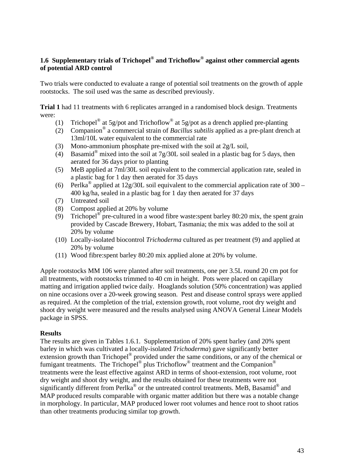## **1.6 Supplementary trials of Trichopel® and Trichoflow® against other commercial agents of potential ARD control**

Two trials were conducted to evaluate a range of potential soil treatments on the growth of apple rootstocks. The soil used was the same as described previously.

**Trial 1** had 11 treatments with 6 replicates arranged in a randomised block design. Treatments were:

- (1) Trichopel<sup>®</sup> at 5g/pot and Trichoflow<sup>®</sup> at 5g/pot as a drench applied pre-planting
- (2) Companion® a commercial strain of *Bacillus subtilis* applied as a pre-plant drench at 13ml/10L water equivalent to the commercial rate
- (3) Mono-ammonium phosphate pre-mixed with the soil at 2g/L soil,
- (4) Basamid<sup>®</sup> mixed into the soil at  $7g/30L$  soil sealed in a plastic bag for 5 days, then aerated for 36 days prior to planting
- (5) MeB applied at 7ml/30L soil equivalent to the commercial application rate, sealed in a plastic bag for 1 day then aerated for 35 days
- (6) Perlka<sup>®</sup> applied at 12g/30L soil equivalent to the commercial application rate of 300 400 kg/ha, sealed in a plastic bag for 1 day then aerated for 37 days
- (7) Untreated soil
- (8) Compost applied at 20% by volume
- (9) Trichopel<sup>®</sup> pre-cultured in a wood fibre waste:spent barley 80:20 mix, the spent grain provided by Cascade Brewery, Hobart, Tasmania; the mix was added to the soil at 20% by volume
- (10) Locally-isolated biocontrol *Trichoderma* cultured as per treatment (9) and applied at 20% by volume
- (11) Wood fibre:spent barley 80:20 mix applied alone at 20% by volume.

Apple rootstocks MM 106 were planted after soil treatments, one per 3.5L round 20 cm pot for all treatments, with rootstocks trimmed to 40 cm in height. Pots were placed on capillary matting and irrigation applied twice daily. Hoaglands solution (50% concentration) was applied on nine occasions over a 20-week growing season. Pest and disease control sprays were applied as required. At the completion of the trial, extension growth, root volume, root dry weight and shoot dry weight were measured and the results analysed using ANOVA General Linear Models package in SPSS.

#### **Results**

The results are given in Tables 1.6.1. Supplementation of 20% spent barley (and 20% spent barley in which was cultivated a locally-isolated *Trichoderma*) gave significantly better extension growth than Trichopel® provided under the same conditions, or any of the chemical or fumigant treatments. The Trichopel<sup>®</sup> plus Trichoflow<sup>®</sup> treatment and the Companion<sup>®</sup> treatments were the least effective against ARD in terms of shoot-extension, root volume, root dry weight and shoot dry weight, and the results obtained for these treatments were not significantly different from Perlka<sup>®</sup> or the untreated control treatments. MeB, Basamid<sup>®</sup> and MAP produced results comparable with organic matter addition but there was a notable change in morphology. In particular, MAP produced lower root volumes and hence root to shoot ratios than other treatments producing similar top growth.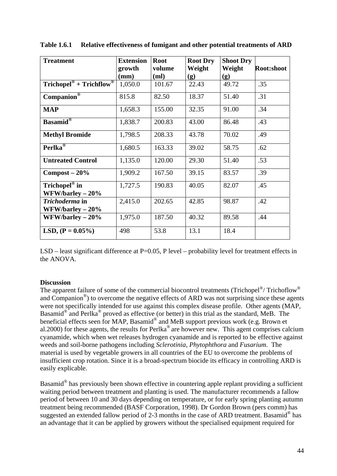| <b>Treatment</b>                                      | <b>Extension</b><br>growth | <b>Root</b><br>volume | <b>Root Dry</b><br>Weight | <b>Shoot Dry</b><br>Weight | Root:shoot |
|-------------------------------------------------------|----------------------------|-----------------------|---------------------------|----------------------------|------------|
|                                                       | (mm)                       | (ml)                  | (g)                       | (g)                        |            |
| $Trichopel^{\circledast}$ + $Trichflow^{\circledast}$ | 1,050.0                    | 101.67                | 22.43                     | 49.72                      | .35        |
| $Companion®$                                          | 815.8                      | 82.50                 | 18.37                     | 51.40                      | .31        |
| <b>MAP</b>                                            | 1,658.3                    | 155.00                | 32.35                     | 91.00                      | .34        |
| <b>Basamid</b> <sup>®</sup>                           | 1,838.7                    | 200.83                | 43.00                     | 86.48                      | .43        |
| <b>Methyl Bromide</b>                                 | 1,798.5                    | 208.33                | 43.78                     | 70.02                      | .49        |
| Perlka <sup>®</sup>                                   | 1,680.5                    | 163.33                | 39.02                     | 58.75                      | .62        |
| <b>Untreated Control</b>                              | 1,135.0                    | 120.00                | 29.30                     | 51.40                      | .53        |
| $Compost - 20%$                                       | 1,909.2                    | 167.50                | 39.15                     | 83.57                      | .39        |
| Trichopel <sup>®</sup> in<br>$WFW/barley - 20%$       | 1,727.5                    | 190.83                | 40.05                     | 82.07                      | .45        |
| Trichoderma in<br>WFW/barley $-20\%$                  | 2,415.0                    | 202.65                | 42.85                     | 98.87                      | .42        |
| $WFW/barley - 20%$                                    | 1,975.0                    | 187.50                | 40.32                     | 89.58                      | .44        |
| LSD, $(P = 0.05\%)$                                   | 498                        | 53.8                  | 13.1                      | 18.4                       |            |

**Table 1.6.1 Relative effectiveness of fumigant and other potential treatments of ARD** 

LSD – least significant difference at P=0.05, P level – probability level for treatment effects in the ANOVA.

#### **Discussion**

The apparent failure of some of the commercial biocontrol treatments (Trichopel<sup>®</sup>/ Trichoflow<sup>®</sup>) and Companion<sup>®</sup>) to overcome the negative effects of ARD was not surprising since these agents were not specifically intended for use against this complex disease profile. Other agents (MAP, Basamid® and Perlka® proved as effective (or better) in this trial as the standard, MeB. The beneficial effects seen for MAP, Basamid<sup>®</sup> and MeB support previous work (e.g. Brown et al.2000) for these agents, the results for Perlka® are however new. This agent comprises calcium cyanamide, which when wet releases hydrogen cyanamide and is reported to be effective against weeds and soil-borne pathogens including *Sclerotinia*, *Phytophthora* and *Fusarium*. The material is used by vegetable growers in all countries of the EU to overcome the problems of insufficient crop rotation. Since it is a broad-spectrum biocide its efficacy in controlling ARD is easily explicable.

Basamid® has previously been shown effective in countering apple replant providing a sufficient waiting period between treatment and planting is used. The manufacturer recommends a fallow period of between 10 and 30 days depending on temperature, or for early spring planting autumn treatment being recommended (BASF Corporation, 1998). Dr Gordon Brown (pers comm) has suggested an extended fallow period of 2-3 months in the case of ARD treatment. Basamid<sup>®</sup> has an advantage that it can be applied by growers without the specialised equipment required for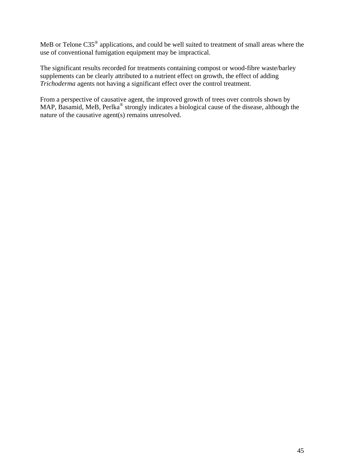MeB or Telone C35® applications, and could be well suited to treatment of small areas where the use of conventional fumigation equipment may be impractical.

The significant results recorded for treatments containing compost or wood-fibre waste/barley supplements can be clearly attributed to a nutrient effect on growth, the effect of adding *Trichoderma* agents not having a significant effect over the control treatment.

From a perspective of causative agent, the improved growth of trees over controls shown by MAP, Basamid, MeB, Perlka<sup>®</sup> strongly indicates a biological cause of the disease, although the nature of the causative agent(s) remains unresolved.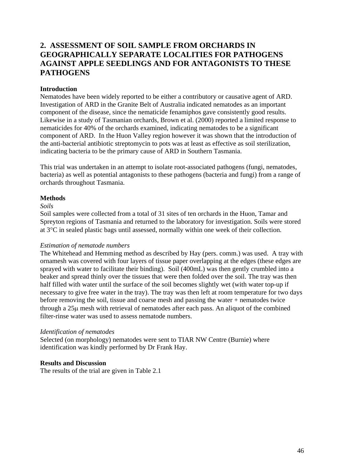# **2. ASSESSMENT OF SOIL SAMPLE FROM ORCHARDS IN GEOGRAPHICALLY SEPARATE LOCALITIES FOR PATHOGENS AGAINST APPLE SEEDLINGS AND FOR ANTAGONISTS TO THESE PATHOGENS**

#### **Introduction**

Nematodes have been widely reported to be either a contributory or causative agent of ARD. Investigation of ARD in the Granite Belt of Australia indicated nematodes as an important component of the disease, since the nematicide fenamiphos gave consistently good results. Likewise in a study of Tasmanian orchards, Brown et al. (2000) reported a limited response to nematicides for 40% of the orchards examined, indicating nematodes to be a significant component of ARD. In the Huon Valley region however it was shown that the introduction of the anti-bacterial antibiotic streptomycin to pots was at least as effective as soil sterilization, indicating bacteria to be the primary cause of ARD in Southern Tasmania.

This trial was undertaken in an attempt to isolate root-associated pathogens (fungi, nematodes, bacteria) as well as potential antagonists to these pathogens (bacteria and fungi) from a range of orchards throughout Tasmania.

#### **Methods**

#### *Soils*

Soil samples were collected from a total of 31 sites of ten orchards in the Huon, Tamar and Spreyton regions of Tasmania and returned to the laboratory for investigation. Soils were stored at 3°C in sealed plastic bags until assessed, normally within one week of their collection.

#### *Estimation of nematode numbers*

The Whitehead and Hemming method as described by Hay (pers. comm.) was used. A tray with ornamesh was covered with four layers of tissue paper overlapping at the edges (these edges are sprayed with water to facilitate their binding). Soil (400mL) was then gently crumbled into a beaker and spread thinly over the tissues that were then folded over the soil. The tray was then half filled with water until the surface of the soil becomes slightly wet (with water top-up if necessary to give free water in the tray). The tray was then left at room temperature for two days before removing the soil, tissue and coarse mesh and passing the water + nematodes twice through a 25μ mesh with retrieval of nematodes after each pass. An aliquot of the combined filter-rinse water was used to assess nematode numbers.

#### *Identification of nematodes*

Selected (on morphology) nematodes were sent to TIAR NW Centre (Burnie) where identification was kindly performed by Dr Frank Hay.

#### **Results and Discussion**

The results of the trial are given in Table 2.1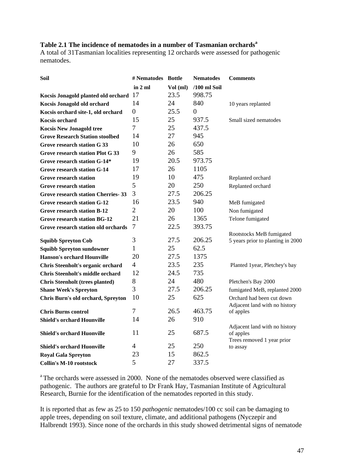# **Table 2.1 The incidence of nematodes in a number of Tasmanian orchards<sup>a</sup>**

A total of 31Tasmanian localities representing 12 orchards were assessed for pathogenic nematodes.

| Soil                                      | # Nematodes Bottle |          | <b>Nematodes</b> | <b>Comments</b>                            |
|-------------------------------------------|--------------------|----------|------------------|--------------------------------------------|
|                                           | in 2 ml            | Vol (ml) | $/100$ ml Soil   |                                            |
| Kocsis Jonagold planted old orchard 17    |                    | 23.5     | 998.75           |                                            |
| Kocsis Jonagold old orchard               | 14                 | 24       | 840              | 10 years replanted                         |
| Kocsis orchard site-1, old orchard        | $\boldsymbol{0}$   | 25.5     | $\Omega$         |                                            |
| <b>Kocsis orchard</b>                     | 15                 | 25       | 937.5            | Small sized nematodes                      |
| <b>Kocsis New Jonagold tree</b>           | 7                  | 25       | 437.5            |                                            |
| <b>Grove Research Station stoolbed</b>    | 14                 | 27       | 945              |                                            |
| Grove research station G 33               | 10                 | 26       | 650              |                                            |
| <b>Grove research station Plot G 33</b>   | 9                  | 26       | 585              |                                            |
| Grove research station G-14*              | 19                 | 20.5     | 973.75           |                                            |
| <b>Grove research station G-14</b>        | 17                 | 26       | 1105             |                                            |
| <b>Grove research station</b>             | 19                 | 10       | 475              | Replanted orchard                          |
| <b>Grove research station</b>             | 5                  | 20       | 250              | Replanted orchard                          |
| <b>Grove research station Cherries-33</b> | 3                  | 27.5     | 206.25           |                                            |
| Grove research station G-12               | 16                 | 23.5     | 940              | MeB fumigated                              |
| <b>Grove research station B-12</b>        | 2                  | 20       | 100              | Non fumigated                              |
| <b>Grove research station BG-12</b>       | 21                 | 26       | 1365             | Telone fumigated                           |
| Grove research station old orchards       | 7                  | 22.5     | 393.75           |                                            |
|                                           |                    |          |                  | Rootstocks MeB fumigated                   |
| <b>Squibb Spreyton Cob</b>                | 3                  | 27.5     | 206.25           | 5 years prior to planting in 2000          |
| <b>Squibb Spreyton sundowner</b>          | 1                  | 25       | 62.5             |                                            |
| <b>Hanson's orchard Hounville</b>         | 20                 | 27.5     | 1375             |                                            |
| Chris Steenholt's organic orchard         | $\overline{4}$     | 23.5     | 235              | Planted 1year, Pletchey's bay              |
| <b>Chris Steenholt's middle orchard</b>   | 12                 | 24.5     | 735              |                                            |
| <b>Chris Steenholt (trees planted)</b>    | 8                  | 24       | 480              | Pletchen's Bay 2000                        |
| <b>Shane Week's Spreyton</b>              | 3                  | 27.5     | 206.25           | fumigated MeB, replanted 2000              |
| Chris Burn's old orchard, Spreyton        | 10                 | 25       | 625              | Orchard had been cut down                  |
| <b>Chris Burns control</b>                | 7                  | 26.5     | 463.75           | Adjacent land with no history<br>of apples |
| <b>Shield's orchard Hounville</b>         | 14                 | 26       | 910              |                                            |
|                                           |                    |          |                  | Adjacent land with no history              |
| <b>Shield's orchard Huonville</b>         | 11                 | 25       | 687.5            | of apples                                  |
|                                           |                    |          |                  | Trees removed 1 year prior                 |
| <b>Shield's orchard Huonville</b>         | 4                  | 25       | 250              | to assay                                   |
| <b>Royal Gala Spreyton</b>                | 23                 | 15       | 862.5            |                                            |
| <b>Collin's M-10 rootstock</b>            | 5                  | 27       | 337.5            |                                            |

<sup>a</sup> The orchards were assessed in 2000. None of the nematodes observed were classified as pathogenic. The authors are grateful to Dr Frank Hay, Tasmanian Institute of Agricultural Research, Burnie for the identification of the nematodes reported in this study.

It is reported that as few as 25 to 150 *pathogenic* nematodes/100 cc soil can be damaging to apple trees, depending on soil texture, climate, and additional pathogens (Nyczepir and Halbrendt 1993). Since none of the orchards in this study showed detrimental signs of nematode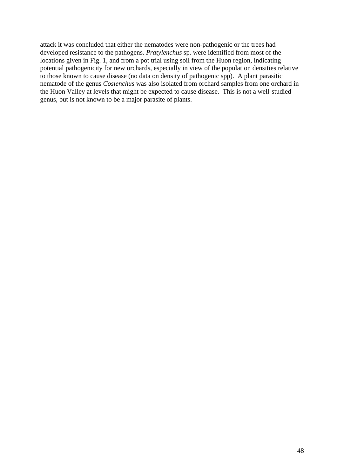attack it was concluded that either the nematodes were non-pathogenic or the trees had developed resistance to the pathogens. *Pratylenchus* sp. were identified from most of the locations given in Fig. 1, and from a pot trial using soil from the Huon region, indicating potential pathogenicity for new orchards, especially in view of the population densities relative to those known to cause disease (no data on density of pathogenic spp). A plant parasitic nematode of the genus *Coslenchus* was also isolated from orchard samples from one orchard in the Huon Valley at levels that might be expected to cause disease. This is not a well-studied genus, but is not known to be a major parasite of plants.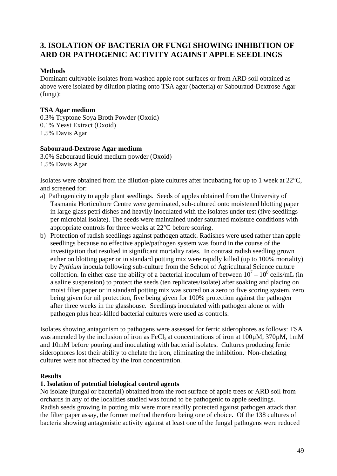# **3. ISOLATION OF BACTERIA OR FUNGI SHOWING INHIBITION OF ARD OR PATHOGENIC ACTIVITY AGAINST APPLE SEEDLINGS**

#### **Methods**

Dominant cultivable isolates from washed apple root-surfaces or from ARD soil obtained as above were isolated by dilution plating onto TSA agar (bacteria) or Sabouraud-Dextrose Agar (fungi):

## **TSA Agar medium**

0.3% Tryptone Soya Broth Powder (Oxoid) 0.1% Yeast Extract (Oxoid) 1.5% Davis Agar

#### **Sabouraud-Dextrose Agar medium**

3.0% Sabouraud liquid medium powder (Oxoid) 1.5% Davis Agar

Isolates were obtained from the dilution-plate cultures after incubating for up to 1 week at 22°C, and screened for:

- a) Pathogenicity to apple plant seedlings. Seeds of apples obtained from the University of Tasmania Horticulture Centre were germinated, sub-cultured onto moistened blotting paper in large glass petri dishes and heavily inoculated with the isolates under test (five seedlings per microbial isolate). The seeds were maintained under saturated moisture conditions with appropriate controls for three weeks at 22°C before scoring.
- b) Protection of radish seedlings against pathogen attack. Radishes were used rather than apple seedlings because no effective apple/pathogen system was found in the course of the investigation that resulted in significant mortality rates. In contrast radish seedling grown either on blotting paper or in standard potting mix were rapidly killed (up to 100% mortality) by *Pythium* inocula following sub-culture from the School of Agricultural Science culture collection. In either case the ability of a bacterial inoculum of between  $10^7 - 10^8$  cells/mL (in a saline suspension) to protect the seeds (ten replicates/isolate) after soaking and placing on moist filter paper or in standard potting mix was scored on a zero to five scoring system, zero being given for nil protection, five being given for 100% protection against the pathogen after three weeks in the glasshouse. Seedlings inoculated with pathogen alone or with pathogen plus heat-killed bacterial cultures were used as controls.

Isolates showing antagonism to pathogens were assessed for ferric siderophores as follows: TSA was amended by the inclusion of iron as FeCl<sub>3</sub> at concentrations of iron at  $100\mu$ M,  $370\mu$ M, 1mM and 10mM before pouring and inoculating with bacterial isolates. Cultures producing ferric siderophores lost their ability to chelate the iron, eliminating the inhibition. Non-chelating cultures were not affected by the iron concentration.

#### **Results**

#### **1. Isolation of potential biological control agents**

No isolate (fungal or bacterial) obtained from the root surface of apple trees or ARD soil from orchards in any of the localities studied was found to be pathogenic to apple seedlings. Radish seeds growing in potting mix were more readily protected against pathogen attack than the filter paper assay, the former method therefore being one of choice. Of the 138 cultures of bacteria showing antagonistic activity against at least one of the fungal pathogens were reduced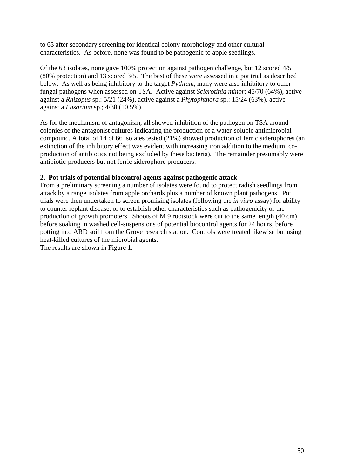to 63 after secondary screening for identical colony morphology and other cultural characteristics. As before, none was found to be pathogenic to apple seedlings.

Of the 63 isolates, none gave 100% protection against pathogen challenge, but 12 scored 4/5 (80% protection) and 13 scored 3/5. The best of these were assessed in a pot trial as described below. As well as being inhibitory to the target *Pythium*, many were also inhibitory to other fungal pathogens when assessed on TSA. Active against *Sclerotinia minor*: 45/70 (64%), active against a *Rhizopus* sp.: 5/21 (24%), active against a *Phytophthora* sp.: 15/24 (63%), active against a *Fusarium* sp.; 4/38 (10.5%).

As for the mechanism of antagonism, all showed inhibition of the pathogen on TSA around colonies of the antagonist cultures indicating the production of a water-soluble antimicrobial compound. A total of 14 of 66 isolates tested (21%) showed production of ferric siderophores (an extinction of the inhibitory effect was evident with increasing iron addition to the medium, coproduction of antibiotics not being excluded by these bacteria). The remainder presumably were antibiotic-producers but not ferric siderophore producers.

## **2. Pot trials of potential biocontrol agents against pathogenic attack**

From a preliminary screening a number of isolates were found to protect radish seedlings from attack by a range isolates from apple orchards plus a number of known plant pathogens. Pot trials were then undertaken to screen promising isolates (following the *in vitro* assay) for ability to counter replant disease, or to establish other characteristics such as pathogenicity or the production of growth promoters. Shoots of M 9 rootstock were cut to the same length (40 cm) before soaking in washed cell-suspensions of potential biocontrol agents for 24 hours, before potting into ARD soil from the Grove research station. Controls were treated likewise but using heat-killed cultures of the microbial agents.

The results are shown in Figure 1.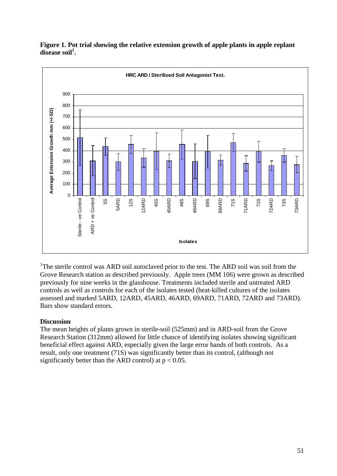

**Figure 1. Pot trial showing the relative extension growth of apple plants in apple replant disease soil<sup>1</sup> .**

<sup>1</sup>The sterile control was ARD soil autoclaved prior to the test. The ARD soil was soil from the Grove Research station as described previously. Apple trees (MM 106) were grown as described previously for nine weeks in the glasshouse. Treatments included sterile and untreated ARD controls as well as controls for each of the isolates tested (heat-killed cultures of the isolates assessed and marked 5ARD, 12ARD, 45ARD, 46ARD, 69ARD, 71ARD, 72ARD and 73ARD). Bars show standard errors.

#### **Discussion**

The mean heights of plants grown in sterile-soil (525mm) and in ARD-soil from the Grove Research Station (312mm) allowed for little chance of identifying isolates showing significant beneficial effect against ARD, especially given the large error bands of both controls. As a result, only one treatment (71S) was significantly better than its control, (although not significantly better than the ARD control) at  $p < 0.05$ .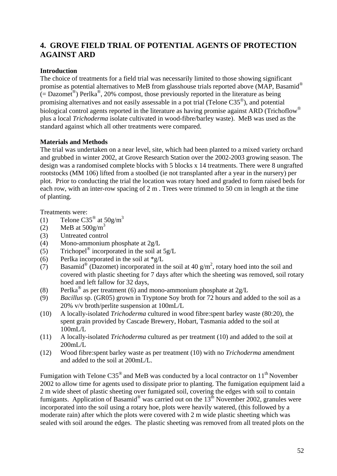# **4. GROVE FIELD TRIAL OF POTENTIAL AGENTS OF PROTECTION AGAINST ARD**

## **Introduction**

The choice of treatments for a field trial was necessarily limited to those showing significant promise as potential alternatives to MeB from glasshouse trials reported above (MAP, Basamid®  $(=$  Dazomet<sup>®</sup>) Perlka<sup>®</sup>, 20% compost, those previously reported in the literature as being promising alternatives and not easily assessable in a pot trial (Telone C35®), and potential biological control agents reported in the literature as having promise against ARD (Trichoflow<sup>®</sup> plus a local *Trichoderma* isolate cultivated in wood-fibre/barley waste). MeB was used as the standard against which all other treatments were compared.

#### **Materials and Methods**

The trial was undertaken on a near level, site, which had been planted to a mixed variety orchard and grubbed in winter 2002, at Grove Research Station over the 2002-2003 growing season. The design was a randomised complete blocks with 5 blocks x 14 treatments. There were 8 ungrafted rootstocks (MM 106) lifted from a stoolbed (ie not transplanted after a year in the nursery) per plot. Prior to conducting the trial the location was rotary hoed and graded to form raised beds for each row, with an inter-row spacing of 2 m . Trees were trimmed to 50 cm in length at the time of planting.

Treatments were:

- (1) Telone  $C35^{\circ}$  at  $50g/m^3$
- (2) MeB at  $500g/m<sup>3</sup>$
- (3) Untreated control
- (4) Mono-ammonium phosphate at 2g/L
- (5) Trichopel<sup>®</sup> incorporated in the soil at  $5g/L$
- (6) Perlka incorporated in the soil at  $*g/L$
- (7) Basamid<sup>®</sup> (Dazomet) incorporated in the soil at 40 g/m<sup>2</sup>, rotary hoed into the soil and covered with plastic sheeting for 7 days after which the sheeting was removed, soil rotary hoed and left fallow for 32 days,
- (8) Perlka<sup>®</sup> as per treatment (6) and mono-ammonium phosphate at  $2g/L$
- (9) *Bacillus* sp. (GR05) grown in Tryptone Soy broth for 72 hours and added to the soil as a 20% v/v broth/perlite suspension at 100mL/L
- (10) A locally-isolated *Trichoderma* cultured in wood fibre:spent barley waste (80:20), the spent grain provided by Cascade Brewery, Hobart, Tasmania added to the soil at 100mL/L
- (11) A locally-isolated *Trichoderma* cultured as per treatment (10) and added to the soil at 200mL/L
- (12) Wood fibre:spent barley waste as per treatment (10) with no *Trichoderma* amendment and added to the soil at 200mL/L.

Fumigation with Telone  $C35^{\circ}$  and MeB was conducted by a local contractor on  $11^{\text{th}}$  November 2002 to allow time for agents used to dissipate prior to planting. The fumigation equipment laid a 2 m wide sheet of plastic sheeting over fumigated soil, covering the edges with soil to contain fumigants. Application of Basamid<sup>®</sup> was carried out on the  $13<sup>th</sup>$  November 2002, granules were incorporated into the soil using a rotary hoe, plots were heavily watered, (this followed by a moderate rain) after which the plots were covered with 2 m wide plastic sheeting which was sealed with soil around the edges. The plastic sheeting was removed from all treated plots on the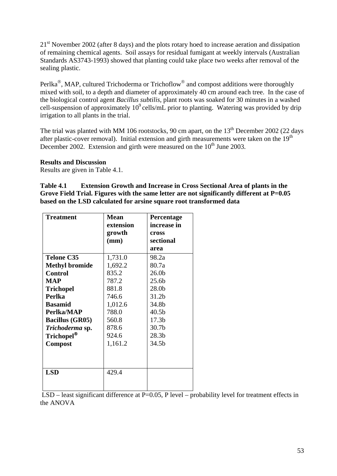21<sup>st</sup> November 2002 (after 8 days) and the plots rotary hoed to increase aeration and dissipation of remaining chemical agents. Soil assays for residual fumigant at weekly intervals (Australian Standards AS3743-1993) showed that planting could take place two weeks after removal of the sealing plastic.

Perlka®, MAP, cultured Trichoderma or Trichoflow® and compost additions were thoroughly mixed with soil, to a depth and diameter of approximately 40 cm around each tree. In the case of the biological control agent *Bacillus subtilis*, plant roots was soaked for 30 minutes in a washed cell-suspension of approximately  $10^9$  cells/mL prior to planting. Watering was provided by drip irrigation to all plants in the trial.

The trial was planted with MM 106 rootstocks, 90 cm apart, on the  $13<sup>th</sup>$  December 2002 (22 days after plastic-cover removal). Initial extension and girth measurements were taken on the  $19<sup>th</sup>$ December 2002. Extension and girth were measured on the  $10<sup>th</sup>$  June 2003.

#### **Results and Discussion**

Results are given in Table 4.1.

**Table 4.1 Extension Growth and Increase in Cross Sectional Area of plants in the Grove Field Trial. Figures with the same letter are not significantly different at P=0.05 based on the LSD calculated for arsine square root transformed data** 

| <b>Treatment</b>       | <b>Mean</b> | Percentage        |
|------------------------|-------------|-------------------|
|                        | extension   | increase in       |
|                        | growth      | cross             |
|                        | (mm)        | sectional         |
|                        |             | area              |
| <b>Telone C35</b>      | 1,731.0     | 98.2a             |
| <b>Methyl bromide</b>  | 1,692.2     | 80.7a             |
| <b>Control</b>         | 835.2       | 26.0 <sub>b</sub> |
| <b>MAP</b>             | 787.2       | 25.6b             |
| <b>Trichopel</b>       | 881.8       | 28.0b             |
| Perlka                 | 746.6       | 31.2b             |
| <b>Basamid</b>         | 1,012.6     | 34.8b             |
| Perlka/MAP             | 788.0       | 40.5 <sub>b</sub> |
| <b>Bacillus (GR05)</b> | 560.8       | 17.3 <sub>b</sub> |
| Trichoderma sp.        | 878.6       | 30.7 <sub>b</sub> |
| Trichopel <sup>®</sup> | 924.6       | 28.3 <sub>b</sub> |
| <b>Compost</b>         | 1,161.2     | 34.5b             |
|                        |             |                   |
|                        |             |                   |
| <b>LSD</b>             | 429.4       |                   |
|                        |             |                   |
|                        |             |                   |

LSD – least significant difference at P=0.05, P level – probability level for treatment effects in the ANOVA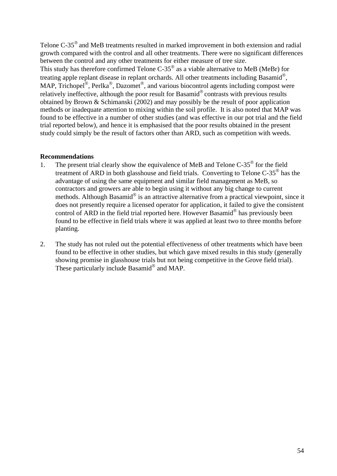Telone C-35® and MeB treatments resulted in marked improvement in both extension and radial growth compared with the control and all other treatments. There were no significant differences between the control and any other treatments for either measure of tree size. This study has therefore confirmed Telone  $C-35^\circ$  as a viable alternative to MeB (MeBr) for treating apple replant disease in replant orchards. All other treatments including Basamid®, MAP, Trichopel<sup>®</sup>, Perlka<sup>®</sup>, Dazomet<sup>®</sup>, and various biocontrol agents including compost were relatively ineffective, although the poor result for Basamid® contrasts with previous results obtained by Brown & Schimanski (2002) and may possibly be the result of poor application methods or inadequate attention to mixing within the soil profile. It is also noted that MAP was found to be effective in a number of other studies (and was effective in our pot trial and the field trial reported below), and hence it is emphasised that the poor results obtained in the present study could simply be the result of factors other than ARD, such as competition with weeds.

#### **Recommendations**

- 1. The present trial clearly show the equivalence of MeB and Telone C-35<sup>®</sup> for the field treatment of ARD in both glasshouse and field trials. Converting to Telone C-35® has the advantage of using the same equipment and similar field management as MeB, so contractors and growers are able to begin using it without any big change to current methods. Although Basamid® is an attractive alternative from a practical viewpoint, since it does not presently require a licensed operator for application, it failed to give the consistent control of ARD in the field trial reported here. However Basamid® has previously been found to be effective in field trials where it was applied at least two to three months before planting.
- 2. The study has not ruled out the potential effectiveness of other treatments which have been found to be effective in other studies, but which gave mixed results in this study (generally showing promise in glasshouse trials but not being competitive in the Grove field trial). These particularly include Basamid<sup>®</sup> and MAP.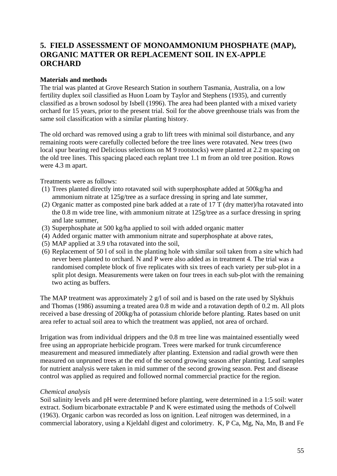# **5. FIELD ASSESSMENT OF MONOAMMONIUM PHOSPHATE (MAP), ORGANIC MATTER OR REPLACEMENT SOIL IN EX-APPLE ORCHARD**

#### **Materials and methods**

The trial was planted at Grove Research Station in southern Tasmania, Australia, on a low fertility duplex soil classified as Huon Loam by Taylor and Stephens (1935), and currently classified as a brown sodosol by Isbell (1996). The area had been planted with a mixed variety orchard for 15 years, prior to the present trial. Soil for the above greenhouse trials was from the same soil classification with a similar planting history.

The old orchard was removed using a grab to lift trees with minimal soil disturbance, and any remaining roots were carefully collected before the tree lines were rotavated. New trees (two local spur bearing red Delicious selections on M 9 rootstocks) were planted at 2.2 m spacing on the old tree lines. This spacing placed each replant tree 1.1 m from an old tree position. Rows were 4.3 m apart.

Treatments were as follows:

- (1) Trees planted directly into rotavated soil with superphosphate added at 500kg/ha and ammonium nitrate at 125g/tree as a surface dressing in spring and late summer,
- (2) Organic matter as composted pine bark added at a rate of 17 T (dry matter)/ha rotavated into the 0.8 m wide tree line, with ammonium nitrate at 125g/tree as a surface dressing in spring and late summer,
- (3) Superphosphate at 500 kg/ha applied to soil with added organic matter
- (4) Added organic matter with ammonium nitrate and superphosphate at above rates,
- (5) MAP applied at 3.9 t/ha rotavated into the soil,
- (6) Replacement of 50 l of soil in the planting hole with similar soil taken from a site which had never been planted to orchard. N and P were also added as in treatment 4. The trial was a randomised complete block of five replicates with six trees of each variety per sub-plot in a split plot design. Measurements were taken on four trees in each sub-plot with the remaining two acting as buffers.

The MAP treatment was approximately 2  $g/l$  of soil and is based on the rate used by Slykhuis and Thomas (1986) assuming a treated area 0.8 m wide and a rotavation depth of 0.2 m. All plots received a base dressing of 200kg/ha of potassium chloride before planting. Rates based on unit area refer to actual soil area to which the treatment was applied, not area of orchard.

Irrigation was from individual drippers and the 0.8 m tree line was maintained essentially weed free using an appropriate herbicide program. Trees were marked for trunk circumference measurement and measured immediately after planting. Extension and radial growth were then measured on unpruned trees at the end of the second growing season after planting. Leaf samples for nutrient analysis were taken in mid summer of the second growing season. Pest and disease control was applied as required and followed normal commercial practice for the region.

#### *Chemical analysis*

Soil salinity levels and pH were determined before planting, were determined in a 1:5 soil: water extract. Sodium bicarbonate extractable P and K were estimated using the methods of Colwell (1963). Organic carbon was recorded as loss on ignition. Leaf nitrogen was determined, in a commercial laboratory, using a Kjeldahl digest and colorimetry. K, P Ca, Mg, Na, Mn, B and Fe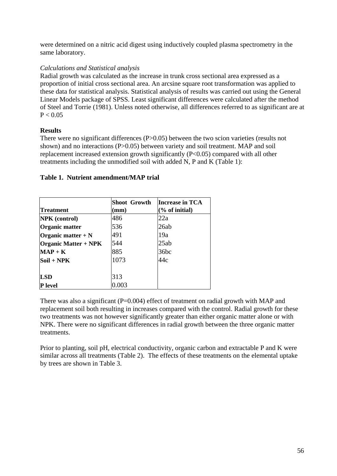were determined on a nitric acid digest using inductively coupled plasma spectrometry in the same laboratory.

## *Calculations and Statistical analysis*

Radial growth was calculated as the increase in trunk cross sectional area expressed as a proportion of initial cross sectional area. An arcsine square root transformation was applied to these data for statistical analysis. Statistical analysis of results was carried out using the General Linear Models package of SPSS. Least significant differences were calculated after the method of Steel and Torrie (1981). Unless noted otherwise, all differences referred to as significant are at  $P < 0.05$ 

## **Results**

There were no significant differences (P>0.05) between the two scion varieties (results not shown) and no interactions (P>0.05) between variety and soil treatment. MAP and soil replacement increased extension growth significantly (P<0.05) compared with all other treatments including the unmodified soil with added N, P and K (Table 1):

|                             | <b>Shoot Growth</b> | <b>Increase in TCA</b> |  |  |
|-----------------------------|---------------------|------------------------|--|--|
| <b>Treatment</b>            | (mm)                | $(\%$ of initial)      |  |  |
| <b>NPK</b> (control)        | 486                 | 22a                    |  |  |
| Organic matter              | 536                 | 26ab                   |  |  |
| Organic matter $+ N$        | 491                 | 19a                    |  |  |
| <b>Organic Matter + NPK</b> | 544                 | 25ab                   |  |  |
| $MAP + K$                   | 885                 | 36bc                   |  |  |
| Soil + NPK                  | 1073                | 44c                    |  |  |
| LSD                         | 313                 |                        |  |  |
| <b>P</b> level              | 0.003               |                        |  |  |

## **Table 1. Nutrient amendment/MAP trial**

There was also a significant  $(P=0.004)$  effect of treatment on radial growth with MAP and replacement soil both resulting in increases compared with the control. Radial growth for these two treatments was not however significantly greater than either organic matter alone or with NPK. There were no significant differences in radial growth between the three organic matter treatments.

Prior to planting, soil pH, electrical conductivity, organic carbon and extractable P and K were similar across all treatments (Table 2). The effects of these treatments on the elemental uptake by trees are shown in Table 3.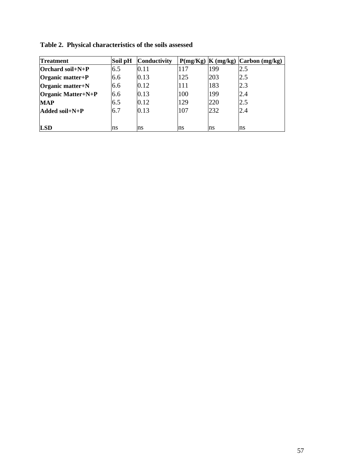| <b>Treatment</b>    | Soil pH | Conductivity |     | $P(mg/Kg)$  K $(mg/kg)$ | $\Gamma$ Carbon (mg/kg) |
|---------------------|---------|--------------|-----|-------------------------|-------------------------|
| $O$ rchard soil+N+P | 6.5     | 0.11         | 117 | 199                     | 2.5                     |
| Organic matter+ $P$ | 6.6     | 0.13         | 125 | 203                     | 2.5                     |
| Organic matter+N    | 6.6     | 0.12         | 111 | 183                     | 2.3                     |
| Organic Matter+N+P  | 6.6     | 0.13         | 100 | 199                     | 2.4                     |
| <b>MAP</b>          | 6.5     | 0.12         | 129 | 220                     | 2.5                     |
| $Added soil+N+P$    | 6.7     | 0.13         | 107 | 232                     | 2.4                     |
|                     |         |              |     |                         |                         |
| <b>LSD</b>          | ns      | ns           | ns  | ns                      | ns                      |

**Table 2. Physical characteristics of the soils assessed**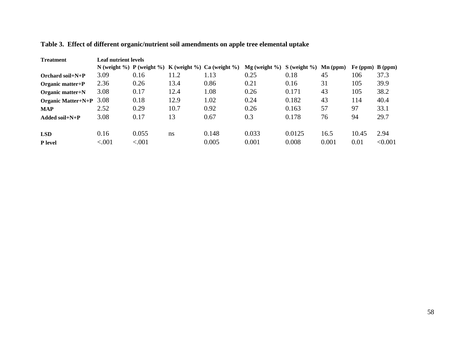| <b>Treatment</b>          | Leaf nutrient levels |        |      |                                                      |                              |        |                     |                    |         |
|---------------------------|----------------------|--------|------|------------------------------------------------------|------------------------------|--------|---------------------|--------------------|---------|
|                           |                      |        |      | N (weight %) P (weight %) K (weight %) Ca (weight %) | $Mg$ (weight %) S (weight %) |        | $\mathbf{Mn}$ (ppm) | Fe (ppm) $B$ (ppm) |         |
| Orchard soil+ $N+P$       | 3.09                 | 0.16   | 11.2 | 1.13                                                 | 0.25                         | 0.18   | 45                  | 106                | 37.3    |
| Organic matter+ $P$       | 2.36                 | 0.26   | 13.4 | 0.86                                                 | 0.21                         | 0.16   | 31                  | 105                | 39.9    |
| Organic matter+N          | 3.08                 | 0.17   | 12.4 | 1.08                                                 | 0.26                         | 0.171  | 43                  | 105                | 38.2    |
| <b>Organic Matter+N+P</b> | 3.08                 | 0.18   | 12.9 | 1.02                                                 | 0.24                         | 0.182  | 43                  | 114                | 40.4    |
| <b>MAP</b>                | 2.52                 | 0.29   | 10.7 | 0.92                                                 | 0.26                         | 0.163  | 57                  | 97                 | 33.1    |
| Added soil $+N+P$         | 3.08                 | 0.17   | 13   | 0.67                                                 | 0.3                          | 0.178  | 76                  | 94                 | 29.7    |
| <b>LSD</b>                | 0.16                 | 0.055  | ns   | 0.148                                                | 0.033                        | 0.0125 | 16.5                | 10.45              | 2.94    |
| <b>P</b> level            | < .001               | < .001 |      | 0.005                                                | 0.001                        | 0.008  | 0.001               | 0.01               | < 0.001 |

# **Table 3. Effect of different organic/nutrient soil amendments on apple tree elemental uptake**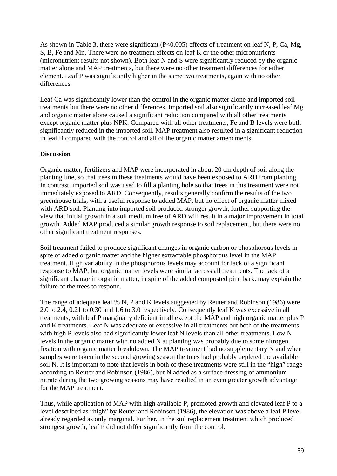As shown in Table 3, there were significant (P<0.005) effects of treatment on leaf N, P, Ca, Mg, S, B, Fe and Mn. There were no treatment effects on leaf K or the other micronutrients (micronutrient results not shown). Both leaf N and S were significantly reduced by the organic matter alone and MAP treatments, but there were no other treatment differences for either element. Leaf P was significantly higher in the same two treatments, again with no other differences.

Leaf Ca was significantly lower than the control in the organic matter alone and imported soil treatments but there were no other differences. Imported soil also significantly increased leaf Mg and organic matter alone caused a significant reduction compared with all other treatments except organic matter plus NPK. Compared with all other treatments, Fe and B levels were both significantly reduced in the imported soil. MAP treatment also resulted in a significant reduction in leaf B compared with the control and all of the organic matter amendments.

#### **Discussion**

Organic matter, fertilizers and MAP were incorporated in about 20 cm depth of soil along the planting line, so that trees in these treatments would have been exposed to ARD from planting. In contrast, imported soil was used to fill a planting hole so that trees in this treatment were not immediately exposed to ARD. Consequently, results generally confirm the results of the two greenhouse trials, with a useful response to added MAP, but no effect of organic matter mixed with ARD soil. Planting into imported soil produced stronger growth, further supporting the view that initial growth in a soil medium free of ARD will result in a major improvement in total growth. Added MAP produced a similar growth response to soil replacement, but there were no other significant treatment responses.

Soil treatment failed to produce significant changes in organic carbon or phosphorous levels in spite of added organic matter and the higher extractable phosphorous level in the MAP treatment. High variability in the phosphorous levels may account for lack of a significant response to MAP, but organic matter levels were similar across all treatments. The lack of a significant change in organic matter, in spite of the added composted pine bark, may explain the failure of the trees to respond.

The range of adequate leaf % N, P and K levels suggested by Reuter and Robinson (1986) were 2.0 to 2.4, 0.21 to 0.30 and 1.6 to 3.0 respectively. Consequently leaf K was excessive in all treatments, with leaf P marginally deficient in all except the MAP and high organic matter plus P and K treatments. Leaf N was adequate or excessive in all treatments but both of the treatments with high P levels also had significantly lower leaf N levels than all other treatments. Low N levels in the organic matter with no added N at planting was probably due to some nitrogen fixation with organic matter breakdown. The MAP treatment had no supplementary N and when samples were taken in the second growing season the trees had probably depleted the available soil N. It is important to note that levels in both of these treatments were still in the "high" range according to Reuter and Robinson (1986), but N added as a surface dressing of ammonium nitrate during the two growing seasons may have resulted in an even greater growth advantage for the MAP treatment.

Thus, while application of MAP with high available P, promoted growth and elevated leaf P to a level described as "high" by Reuter and Robinson (1986), the elevation was above a leaf P level already regarded as only marginal. Further, in the soil replacement treatment which produced strongest growth, leaf P did not differ significantly from the control.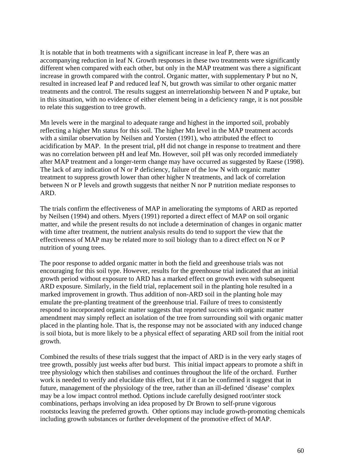It is notable that in both treatments with a significant increase in leaf P, there was an accompanying reduction in leaf N. Growth responses in these two treatments were significantly different when compared with each other, but only in the MAP treatment was there a significant increase in growth compared with the control. Organic matter, with supplementary P but no N, resulted in increased leaf P and reduced leaf N, but growth was similar to other organic matter treatments and the control. The results suggest an interrelationship between N and P uptake, but in this situation, with no evidence of either element being in a deficiency range, it is not possible to relate this suggestion to tree growth.

Mn levels were in the marginal to adequate range and highest in the imported soil, probably reflecting a higher Mn status for this soil. The higher Mn level in the MAP treatment accords with a similar observation by Neilsen and Yorsten (1991), who attributed the effect to acidification by MAP. In the present trial, pH did not change in response to treatment and there was no correlation between pH and leaf Mn. However, soil pH was only recorded immediately after MAP treatment and a longer-term change may have occurred as suggested by Raese (1998). The lack of any indication of N or P deficiency, failure of the low N with organic matter treatment to suppress growth lower than other higher N treatments, and lack of correlation between N or P levels and growth suggests that neither N nor P nutrition mediate responses to ARD.

The trials confirm the effectiveness of MAP in ameliorating the symptoms of ARD as reported by Neilsen (1994) and others. Myers (1991) reported a direct effect of MAP on soil organic matter, and while the present results do not include a determination of changes in organic matter with time after treatment, the nutrient analysis results do tend to support the view that the effectiveness of MAP may be related more to soil biology than to a direct effect on N or P nutrition of young trees.

The poor response to added organic matter in both the field and greenhouse trials was not encouraging for this soil type. However, results for the greenhouse trial indicated that an initial growth period without exposure to ARD has a marked effect on growth even with subsequent ARD exposure. Similarly, in the field trial, replacement soil in the planting hole resulted in a marked improvement in growth. Thus addition of non-ARD soil in the planting hole may emulate the pre-planting treatment of the greenhouse trial. Failure of trees to consistently respond to incorporated organic matter suggests that reported success with organic matter amendment may simply reflect an isolation of the tree from surrounding soil with organic matter placed in the planting hole. That is, the response may not be associated with any induced change is soil biota, but is more likely to be a physical effect of separating ARD soil from the initial root growth.

Combined the results of these trials suggest that the impact of ARD is in the very early stages of tree growth, possibly just weeks after bud burst. This initial impact appears to promote a shift in tree physiology which then stabilises and continues throughout the life of the orchard. Further work is needed to verify and elucidate this effect, but if it can be confirmed it suggest that in future, management of the physiology of the tree, rather than an ill-defined 'disease' complex may be a low impact control method. Options include carefully designed root/inter stock combinations, perhaps involving an idea proposed by Dr Brown to self-prune vigorous rootstocks leaving the preferred growth. Other options may include growth-promoting chemicals including growth substances or further development of the promotive effect of MAP.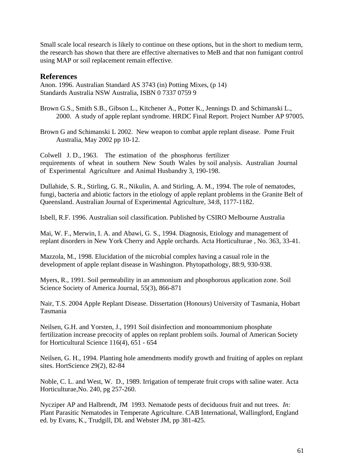Small scale local research is likely to continue on these options, but in the short to medium term, the research has shown that there are effective alternatives to MeB and that non fumigant control using MAP or soil replacement remain effective.

#### **References**

Anon. 1996. Australian Standard AS 3743 (in) Potting Mixes, (p 14) Standards Australia NSW Australia, ISBN 0 7337 0759 9

Brown G.S., Smith S.B., Gibson L., Kitchener A., Potter K., Jennings D. and Schimanski L., 2000. A study of apple replant syndrome. HRDC Final Report. Project Number AP 97005.

Brown G and Schimanski L 2002. New weapon to combat apple replant disease. Pome Fruit Australia, May 2002 pp 10-12.

Colwell J. D., 1963. The estimation of the phosphorus fertilizer requirements of wheat in southern New South Wales by soil analysis. Australian Journal of Experimental Agriculture and Animal Husbandry 3, 190-198.

Dullahide, S. R., Stirling, G. R., Nikulin, A. and Stirling, A. M., 1994. The role of nematodes, fungi, bacteria and abiotic factors in the etiology of apple replant problems in the Granite Belt of Queensland. Australian Journal of Experimental Agriculture, 34:8, 1177-1182.

Isbell, R.F. 1996. Australian soil classification. Published by CSIRO Melbourne Australia

Mai, W. F., Merwin, I. A. and Abawi, G. S., 1994. Diagnosis, Etiology and management of replant disorders in New York Cherry and Apple orchards. Acta Horticulturae , No. 363, 33-41.

Mazzola, M., 1998. Elucidation of the microbial complex having a casual role in the development of apple replant disease in Washington. Phytopathology, 88:9, 930-938.

Myers, R., 1991. Soil permeability in an ammonium and phosphorous application zone. Soil Science Society of America Journal, 55(3), 866-871

Nair, T.S. 2004 Apple Replant Disease. Dissertation (Honours) University of Tasmania, Hobart Tasmania

Neilsen, G.H. and Yorsten, J., 1991 Soil disinfection and monoammonium phosphate fertilization increase precocity of apples on replant problem soils. Journal of American Society for Horticultural Science 116(4), 651 - 654

Neilsen, G. H., 1994. Planting hole amendments modify growth and fruiting of apples on replant sites. HortScience 29(2), 82-84

Noble, C. L. and West, W. D., 1989. Irrigation of temperate fruit crops with saline water. Acta Horticulturae,No. 240, pg 257-260.

Nycziper AP and Halbrendt, JM 1993. Nematode pests of deciduous fruit and nut trees. *In:* Plant Parasitic Nematodes in Temperate Agriculture. CAB International, Wallingford, England ed. by Evans, K., Trudgill, DL and Webster JM, pp 381-425.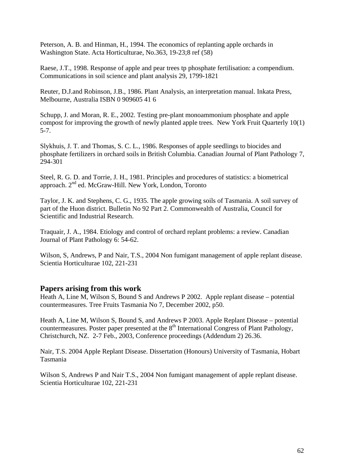Peterson, A. B. and Hinman, H., 1994. The economics of replanting apple orchards in Washington State. Acta Horticulturae, No.363, 19-23;8 ref (58)

Raese, J.T., 1998. Response of apple and pear trees tp phosphate fertilisation: a compendium. Communications in soil science and plant analysis 29, 1799-1821

Reuter, D.J.and Robinson, J.B., 1986. Plant Analysis, an interpretation manual. Inkata Press, Melbourne, Australia ISBN 0 909605 41 6

Schupp, J. and Moran, R. E., 2002. Testing pre-plant monoammonium phosphate and apple compost for improving the growth of newly planted apple trees. New York Fruit Quarterly 10(1) 5-7.

Slykhuis, J. T. and Thomas, S. C. L., 1986. Responses of apple seedlings to biocides and phosphate fertilizers in orchard soils in British Columbia. Canadian Journal of Plant Pathology 7, 294-301

Steel, R. G. D. and Torrie, J. H., 1981. Principles and procedures of statistics: a biometrical approach. 2<sup>nd</sup> ed. McGraw-Hill. New York, London, Toronto

Taylor, J. K. and Stephens, C. G., 1935. The apple growing soils of Tasmania. A soil survey of part of the Huon district. Bulletin No 92 Part 2. Commonwealth of Australia, Council for Scientific and Industrial Research.

Traquair, J. A., 1984. Etiology and control of orchard replant problems: a review. Canadian Journal of Plant Pathology 6: 54-62.

Wilson, S, Andrews, P and Nair, T.S., 2004 Non fumigant management of apple replant disease. Scientia Horticulturae 102, 221-231

#### **Papers arising from this work**

Heath A, Line M, Wilson S, Bound S and Andrews P 2002. Apple replant disease – potential countermeasures. Tree Fruits Tasmania No 7, December 2002, p50.

Heath A, Line M, Wilson S, Bound S, and Andrews P 2003. Apple Replant Disease – potential countermeasures. Poster paper presented at the  $8<sup>th</sup>$  International Congress of Plant Pathology, Christchurch, NZ. 2-7 Feb., 2003, Conference proceedings (Addendum 2) 26.36.

Nair, T.S. 2004 Apple Replant Disease. Dissertation (Honours) University of Tasmania, Hobart Tasmania

Wilson S, Andrews P and Nair T.S., 2004 Non fumigant management of apple replant disease. Scientia Horticulturae 102, 221-231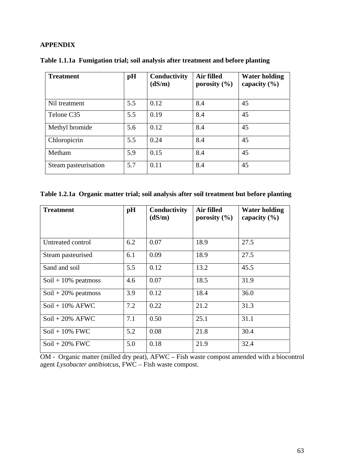#### **APPENDIX**

| <b>Treatment</b>     | pH  | Conductivity<br>(dS/m) | Air filled<br>porosity $(\% )$ | <b>Water holding</b><br>capacity $(\% )$ |
|----------------------|-----|------------------------|--------------------------------|------------------------------------------|
| Nil treatment        | 5.5 | 0.12                   | 8.4                            | 45                                       |
| Telone C35           | 5.5 | 0.19                   | 8.4                            | 45                                       |
| Methyl bromide       | 5.6 | 0.12                   | 8.4                            | 45                                       |
| Chloropicrin         | 5.5 | 0.24                   | 8.4                            | 45                                       |
| Metham               | 5.9 | 0.15                   | 8.4                            | 45                                       |
| Steam pasteurisation | 5.7 | 0.11                   | 8.4                            | 45                                       |

|  | Table 1.1.1a Fumigation trial; soil analysis after treatment and before planting |  |  |
|--|----------------------------------------------------------------------------------|--|--|
|  |                                                                                  |  |  |

**Table 1.2.1a Organic matter trial; soil analysis after soil treatment but before planting** 

| <b>Treatment</b>       | pH  | Conductivity<br>(dS/m) | Air filled<br>porosity $(\% )$ | <b>Water holding</b><br>capacity $(\% )$ |
|------------------------|-----|------------------------|--------------------------------|------------------------------------------|
|                        |     |                        |                                |                                          |
| Untreated control      | 6.2 | 0.07                   | 18.9                           | 27.5                                     |
| Steam pasteurised      | 6.1 | 0.09                   | 18.9                           | 27.5                                     |
| Sand and soil          | 5.5 | 0.12                   | 13.2                           | 45.5                                     |
| $Soil + 10\%$ peatmoss | 4.6 | 0.07                   | 18.5                           | 31.9                                     |
| $Soil + 20\%$ peatmoss | 3.9 | 0.12                   | 18.4                           | 36.0                                     |
| $Soil + 10\%$ AFWC     | 7.2 | 0.22                   | 21.2                           | 31.3                                     |
| $Soil + 20\%$ AFWC     | 7.1 | 0.50                   | 25.1                           | 31.1                                     |
| $Soil + 10\%$ FWC      | 5.2 | 0.08                   | 21.8                           | 30.4                                     |
| $Soil + 20\%$ FWC      | 5.0 | 0.18                   | 21.9                           | 32.4                                     |

OM - Organic matter (milled dry peat), AFWC – Fish waste compost amended with a biocontrol agent *Lysobacter antibiotcus*, FWC – Fish waste compost.